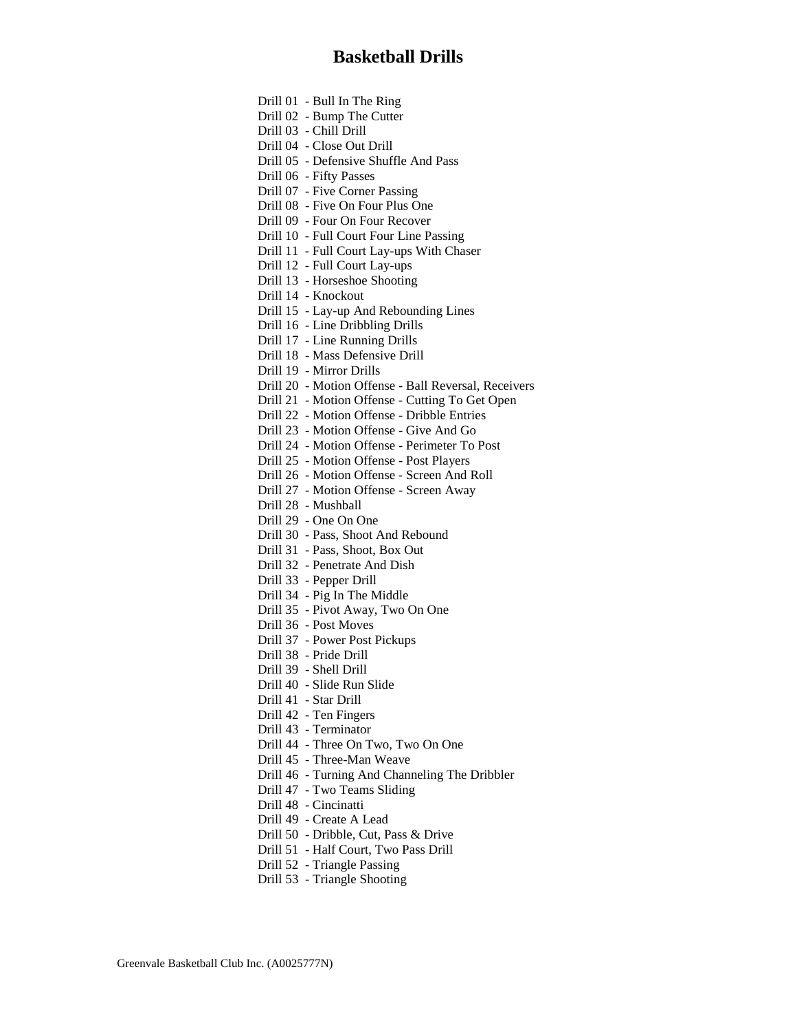[Drill 01 - Bull In The Ring](#page-1-0) [Drill 02 - Bump The Cutter](#page-2-0) [Drill 03 - Chill Drill](#page-3-0) [Drill 04 - Close Out Drill](#page-4-0) [Drill 05 - Defensive Shuffle And Pass](#page-5-0) [Drill 06 - Fifty Passes](#page-6-0) [Drill 07 - Five Corner Passing](#page-7-0) [Drill 08 - Five On Four Plus One](#page-8-0) [Drill 09 - Four On Four Recover](#page-9-0) [Drill 10 - Full Court Four Line Passing](#page-10-0) [Drill 11 - Full Court Lay-ups With Chaser](#page-11-0) [Drill 12 - Full Court Lay-ups](#page-12-0) [Drill 13 - Horseshoe Shooting](#page-13-0) [Drill 14 - Knockout](#page-14-0) [Drill 15 - Lay-up And Rebounding Lines](#page-15-0) [Drill 16 - Line Dribbling Drills](#page-16-0) [Drill 17 - Line Running Drills](#page-17-0) [Drill 18 - Mass Defensive Drill](#page-18-0) [Drill 19 - Mirror Drills](#page-19-0) [Drill 20 - Motion Offense - Ball Reversal, Receivers](#page-20-0) [Drill 21 - Motion Offense - Cutting To Get Open](#page-21-0) [Drill 22 - Motion Offense - Dribble Entries](#page-22-0) [Drill 23 - Motion Offense - Give And Go](#page-23-0) [Drill 24 - Motion Offense - Perimeter To Post](#page-24-0) [Drill 25 - Motion Offense - Post Players](#page-25-0) [Drill 26 - Motion Offense - Screen And Roll](#page-26-0) [Drill 27 - Motion Offense - Screen Away](#page-27-0) [Drill 28 - Mushball](#page-28-0) [Drill 29 - One On One](#page-29-0) [Drill 30 - Pass, Shoot And Rebound](#page-30-0) [Drill 31 - Pass, Shoot, Box Out](#page-31-0) [Drill 32 - Penetrate And Dish](#page-32-0) [Drill 33 - Pepper Drill](#page-33-0) [Drill 34 - Pig In The Middle](#page-34-0) [Drill 35 - Pivot Away, Two On One](#page-35-0) [Drill 36 - Post Moves](#page-36-0) [Drill 37 - Power Post Pickups](#page-37-0) [Drill 38 - Pride Drill](#page-38-0) [Drill 39 - Shell Drill](#page-39-0) [Drill 40 - Slide Run Slide](#page-40-0) [Drill 41 - Star Drill](#page-41-0) [Drill 42 - Ten Fingers](#page-42-0) [Drill 43 - Terminator](#page-43-0) [Drill 44 - Three On Two, Two On One](#page-44-0) [Drill 45 - Three-Man Weave](#page-45-0) [Drill 46 - Turning And Channeling The Dribbler](#page-46-0) [Drill 47 - Two Teams Sliding](#page-47-0) [Drill 48 - Cincinatti](#page-48-0) [Drill 49 - Create A Lead](#page-49-0) [Drill 50 - Dribble, Cut, Pass & Drive](#page-50-0) [Drill 51 - Half Court, Two Pass Drill](#page-51-0) [Drill 52 - Triangle Passing](#page-52-0) [Drill 53 - Triangle Shooting](#page-53-0)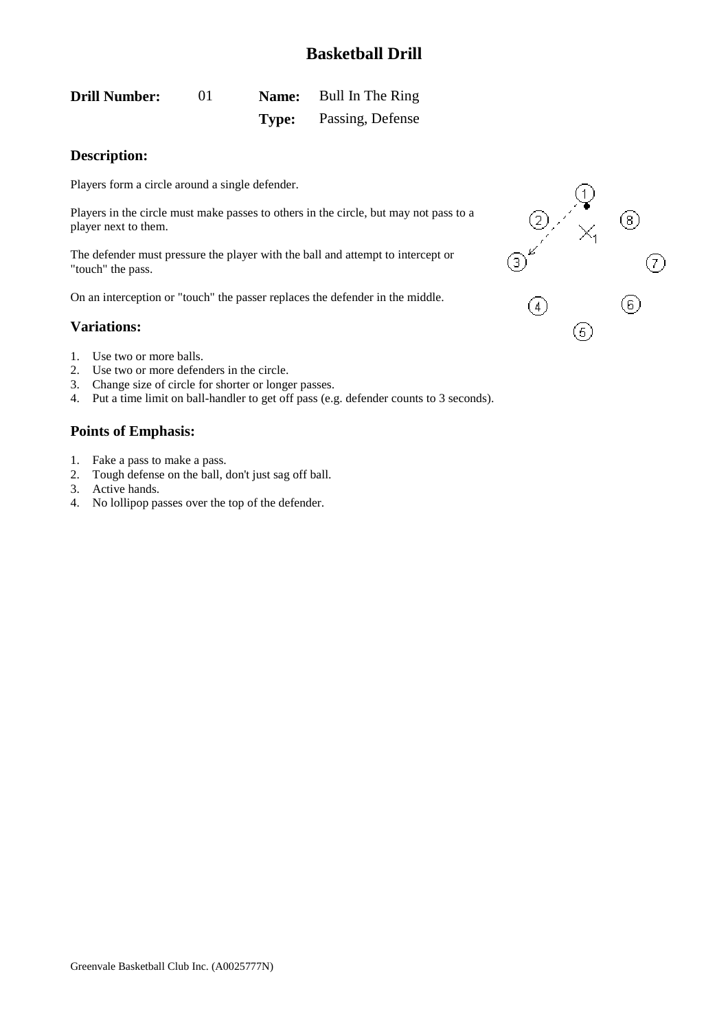<span id="page-1-0"></span>

| <b>Drill Number:</b> | $\Omega$ |       | <b>Name:</b> Bull In The Ring |
|----------------------|----------|-------|-------------------------------|
|                      |          | Type: | Passing, Defense              |

### **Description:**

Players form a circle around a single defender.

Players in the circle must make passes to others in the circle, but may not pass to a player next to them.

The defender must pressure the player with the ball and attempt to intercept or "touch" the pass.

On an interception or "touch" the passer replaces the defender in the middle.

### **Variations:**

- 1. Use two or more balls.
- 2. Use two or more defenders in the circle.
- 3. Change size of circle for shorter or longer passes.
- 4. Put a time limit on ball-handler to get off pass (e.g. defender counts to 3 seconds).

- 1. Fake a pass to make a pass.
- 2. Tough defense on the ball, don't just sag off ball.
- 3. Active hands.
- 4. No lollipop passes over the top of the defender.

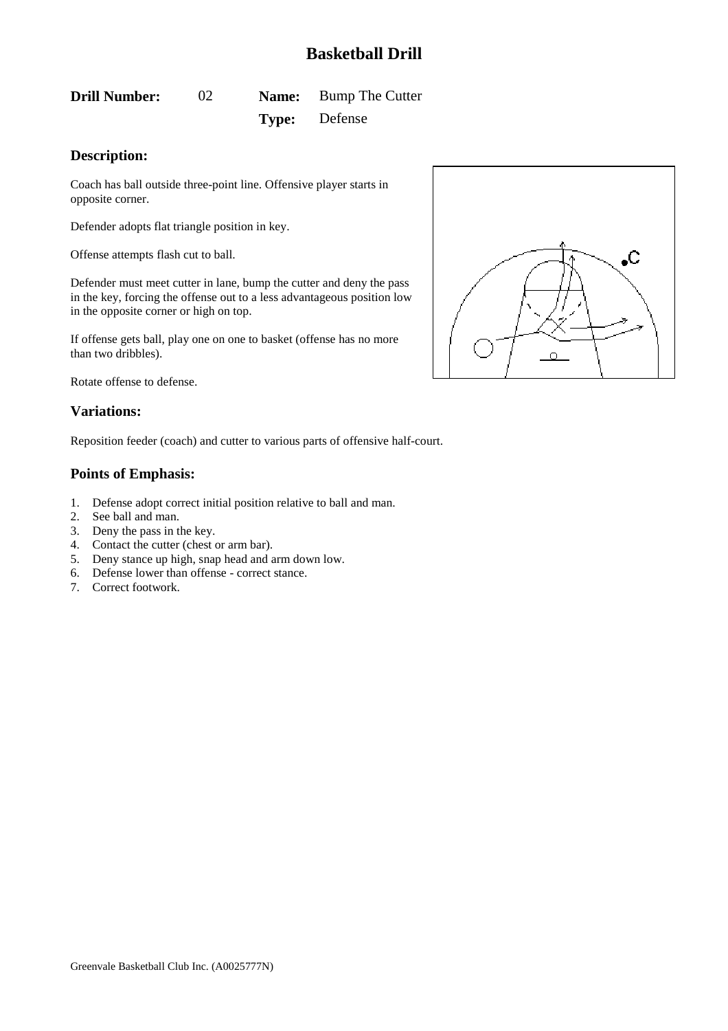# <span id="page-2-0"></span>**Drill Number:** 02 **Name:** Bump The Cutter **Type:** Defense

### **Description:**

Coach has ball outside three-point line. Offensive player starts in opposite corner.

Defender adopts flat triangle position in key.

Offense attempts flash cut to ball.

Defender must meet cutter in lane, bump the cutter and deny the pass in the key, forcing the offense out to a less advantageous position low in the opposite corner or high on top.

If offense gets ball, play one on one to basket (offense has no more than two dribbles).

Rotate offense to defense.

#### **Variations:**

Reposition feeder (coach) and cutter to various parts of offensive half-court.

- 1. Defense adopt correct initial position relative to ball and man.
- 2. See ball and man.
- 3. Deny the pass in the key.
- 4. Contact the cutter (chest or arm bar).
- 5. Deny stance up high, snap head and arm down low.
- 6. Defense lower than offense correct stance.
- 7. Correct footwork.

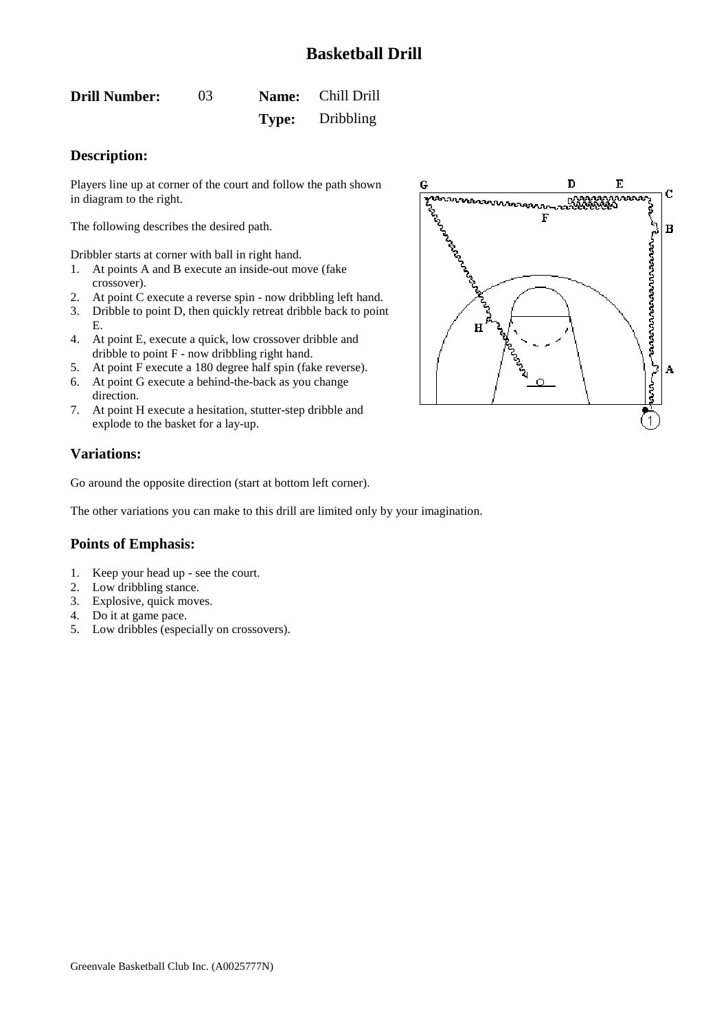<span id="page-3-0"></span>

| <b>Drill Number:</b> | 03 | Name: Chill Drill      |
|----------------------|----|------------------------|
|                      |    | <b>Type:</b> Dribbling |

### **Description:**

Players line up at corner of the court and follow the path shown in diagram to the right.

The following describes the desired path.

Dribbler starts at corner with ball in right hand.

- 1. At points A and B execute an inside-out move (fake crossover).
- 2. At point C execute a reverse spin now dribbling left hand.
- 3. Dribble to point D, then quickly retreat dribble back to point E.
- 4. At point E, execute a quick, low crossover dribble and dribble to point F - now dribbling right hand.
- 5. At point F execute a 180 degree half spin (fake reverse).
- 6. At point G execute a behind-the-back as you change direction.
- 7. At point H execute a hesitation, stutter-step dribble and explode to the basket for a lay-up.

### **Variations:**

Go around the opposite direction (start at bottom left corner).

The other variations you can make to this drill are limited only by your imagination.

- 1. Keep your head up see the court.
- 2. Low dribbling stance.
- 3. Explosive, quick moves.
- 4. Do it at game pace.
- 5. Low dribbles (especially on crossovers).

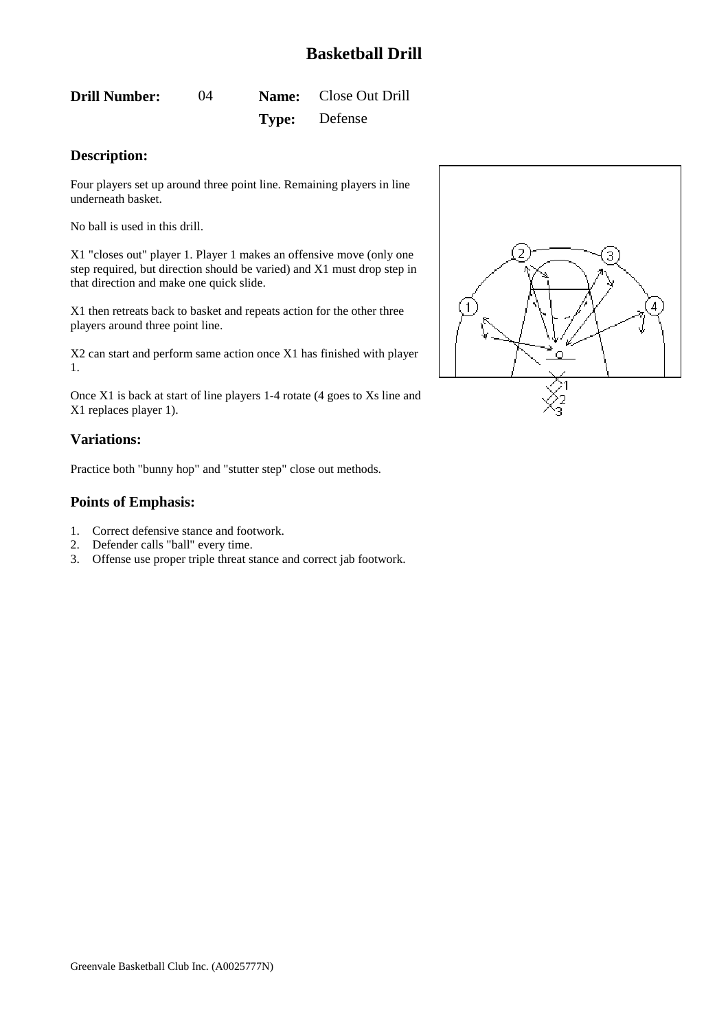<span id="page-4-0"></span>**Drill Number:** 04 **Name:** Close Out Drill **Type:** Defense

### **Description:**

Four players set up around three point line. Remaining players in line underneath basket.

No ball is used in this drill.

X1 "closes out" player 1. Player 1 makes an offensive move (only one step required, but direction should be varied) and X1 must drop step in that direction and make one quick slide.

X1 then retreats back to basket and repeats action for the other three players around three point line.

X2 can start and perform same action once X1 has finished with player 1.

Once X1 is back at start of line players 1-4 rotate (4 goes to Xs line and X1 replaces player 1).

### **Variations:**

Practice both "bunny hop" and "stutter step" close out methods.

- 1. Correct defensive stance and footwork.
- 2. Defender calls "ball" every time.
- 3. Offense use proper triple threat stance and correct jab footwork.

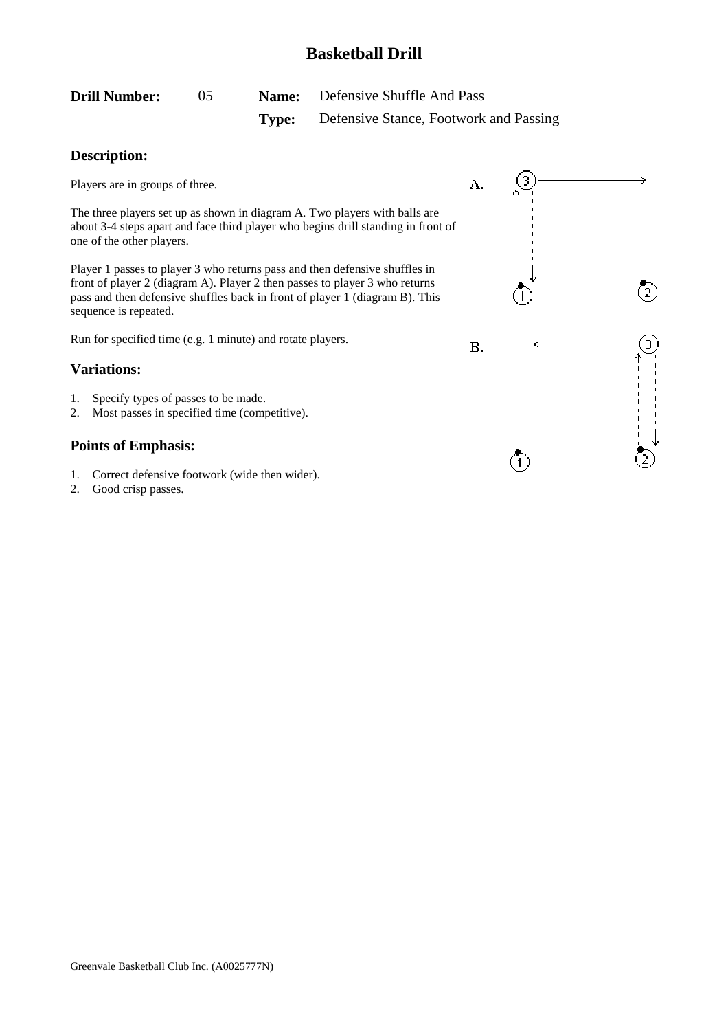<span id="page-5-0"></span>

| <b>Drill Number:</b> |  | <b>Name:</b> Defensive Shuffle And Pass             |
|----------------------|--|-----------------------------------------------------|
|                      |  | <b>Type:</b> Defensive Stance, Footwork and Passing |

## **Description:**

Players are in groups of three.

The three players set up as shown in diagram A. Two players with balls are about 3-4 steps apart and face third player who begins drill standing in front of one of the other players.

Player 1 passes to player 3 who returns pass and then defensive shuffles in front of player 2 (diagram A). Player 2 then passes to player 3 who returns pass and then defensive shuffles back in front of player 1 (diagram B). This sequence is repeated.

Run for specified time (e.g. 1 minute) and rotate players.

### **Variations:**

- 1. Specify types of passes to be made.
- 2. Most passes in specified time (competitive).

- 1. Correct defensive footwork (wide then wider).
- 2. Good crisp passes.

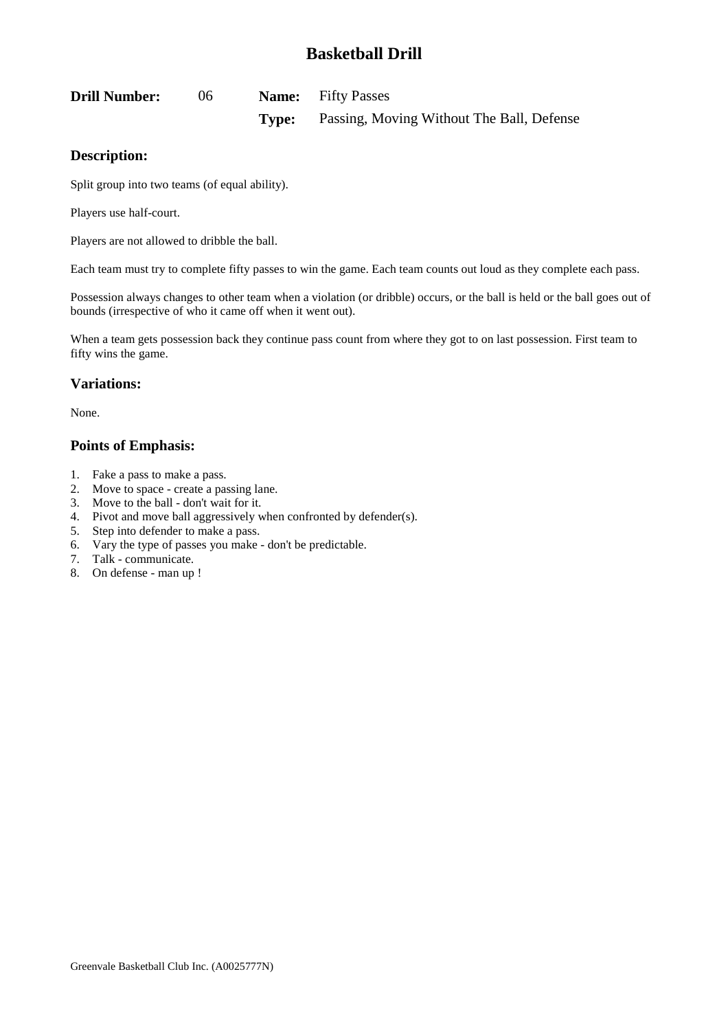<span id="page-6-0"></span>

| <b>Drill Number:</b> | $06^{\circ}$ |       | <b>Name:</b> Fifty Passes                 |
|----------------------|--------------|-------|-------------------------------------------|
|                      |              | Type: | Passing, Moving Without The Ball, Defense |

### **Description:**

Split group into two teams (of equal ability).

Players use half-court.

Players are not allowed to dribble the ball.

Each team must try to complete fifty passes to win the game. Each team counts out loud as they complete each pass.

Possession always changes to other team when a violation (or dribble) occurs, or the ball is held or the ball goes out of bounds (irrespective of who it came off when it went out).

When a team gets possession back they continue pass count from where they got to on last possession. First team to fifty wins the game.

#### **Variations:**

None.

- 1. Fake a pass to make a pass.
- 2. Move to space create a passing lane.
- 3. Move to the ball don't wait for it.
- 4. Pivot and move ball aggressively when confronted by defender(s).
- 5. Step into defender to make a pass.
- 6. Vary the type of passes you make don't be predictable.
- 7. Talk communicate.
- 8. On defense man up !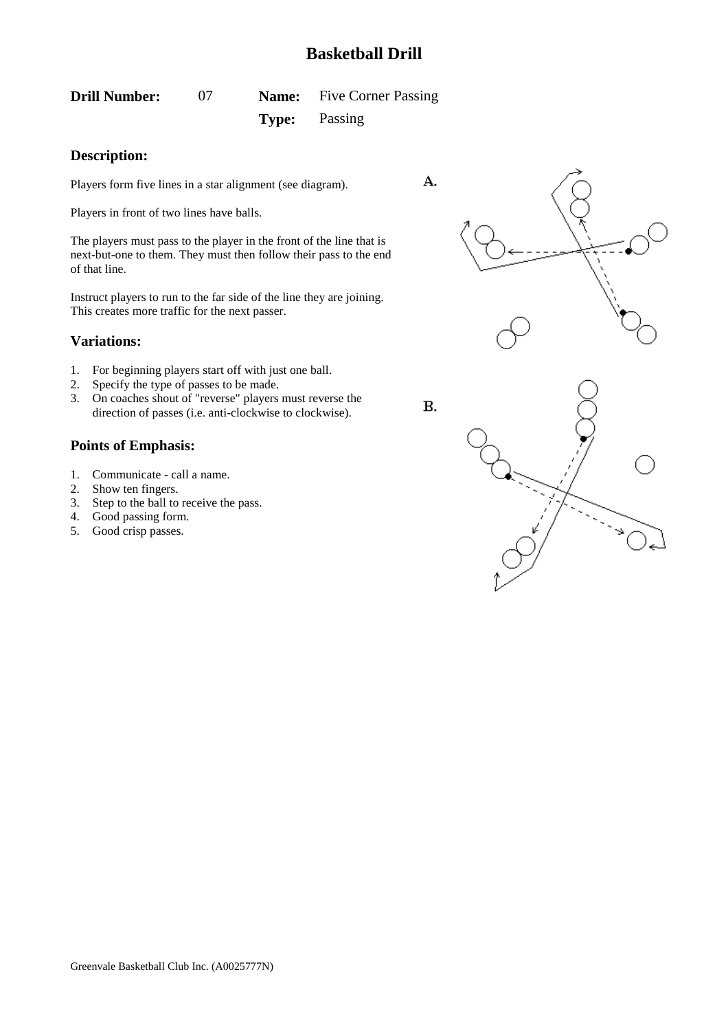<span id="page-7-0"></span>

| <b>Drill Number:</b> |  | <b>Name:</b> Five Corner Passing |
|----------------------|--|----------------------------------|
|                      |  | <b>Type:</b> Passing             |

### **Description:**

Players form five lines in a star alignment (see diagram).

Players in front of two lines have balls.

The players must pass to the player in the front of the line that is next-but-one to them. They must then follow their pass to the end of that line.

Instruct players to run to the far side of the line they are joining. This creates more traffic for the next passer.

### **Variations:**

- 1. For beginning players start off with just one ball.
- 2. Specify the type of passes to be made.
- 3. On coaches shout of "reverse" players must reverse the direction of passes (i.e. anti-clockwise to clockwise).

- 1. Communicate call a name.
- 2. Show ten fingers.
- 3. Step to the ball to receive the pass.
- 4. Good passing form.
- 5. Good crisp passes.



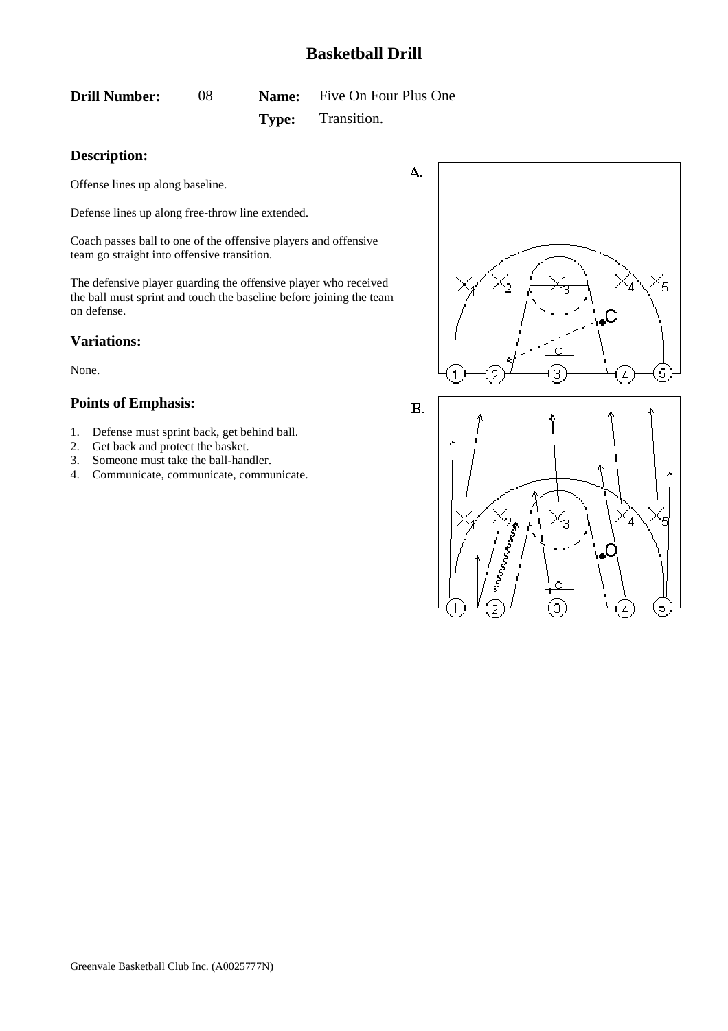<span id="page-8-0"></span>**Drill Number:** 08 **Name:** Five On Four Plus One **Type:** Transition.

### **Description:**

Offense lines up along baseline.

Defense lines up along free-throw line extended.

Coach passes ball to one of the offensive players and offensive team go straight into offensive transition.

The defensive player guarding the offensive player who received the ball must sprint and touch the baseline before joining the team on defense.

#### **Variations:**

None.

- 1. Defense must sprint back, get behind ball.
- 2. Get back and protect the basket.
- 3. Someone must take the ball-handler.
- 4. Communicate, communicate, communicate.





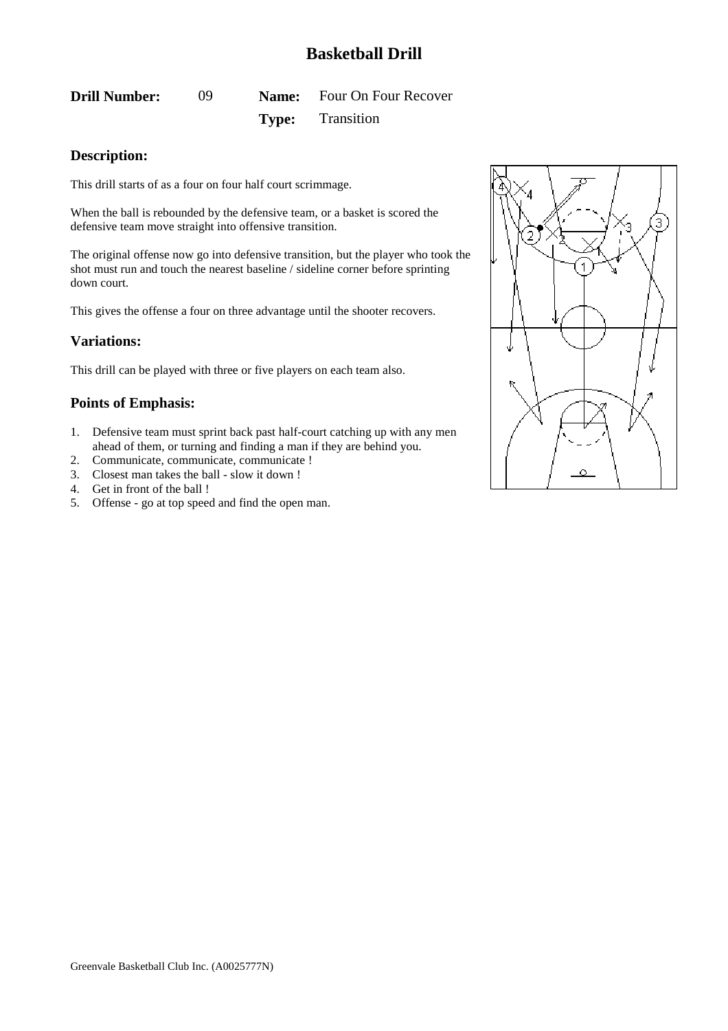<span id="page-9-0"></span>**Drill Number:** 09 **Name:** Four On Four Recover **Type:** Transition

### **Description:**

This drill starts of as a four on four half court scrimmage.

When the ball is rebounded by the defensive team, or a basket is scored the defensive team move straight into offensive transition.

The original offense now go into defensive transition, but the player who took the shot must run and touch the nearest baseline / sideline corner before sprinting down court.

This gives the offense a four on three advantage until the shooter recovers.

### **Variations:**

This drill can be played with three or five players on each team also.

- 1. Defensive team must sprint back past half-court catching up with any men ahead of them, or turning and finding a man if they are behind you.
- 2. Communicate, communicate, communicate !
- 3. Closest man takes the ball slow it down !
- 4. Get in front of the ball !
- 5. Offense go at top speed and find the open man.

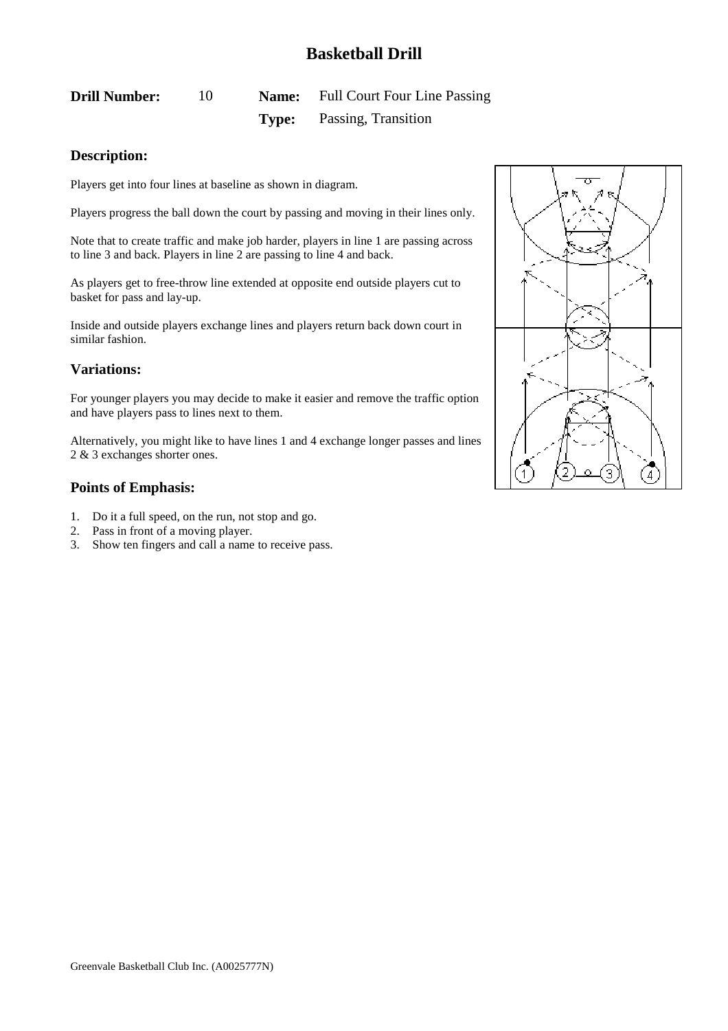<span id="page-10-0"></span>**Drill Number:** 10 **Name:** Full Court Four Line Passing **Type:** Passing, Transition

### **Description:**

Players get into four lines at baseline as shown in diagram.

Players progress the ball down the court by passing and moving in their lines only.

Note that to create traffic and make job harder, players in line 1 are passing across to line 3 and back. Players in line 2 are passing to line 4 and back.

As players get to free-throw line extended at opposite end outside players cut to basket for pass and lay-up.

Inside and outside players exchange lines and players return back down court in similar fashion.

### **Variations:**

For younger players you may decide to make it easier and remove the traffic option and have players pass to lines next to them.

Alternatively, you might like to have lines 1 and 4 exchange longer passes and lines 2 & 3 exchanges shorter ones.

- 1. Do it a full speed, on the run, not stop and go.
- 2. Pass in front of a moving player.
- 3. Show ten fingers and call a name to receive pass.

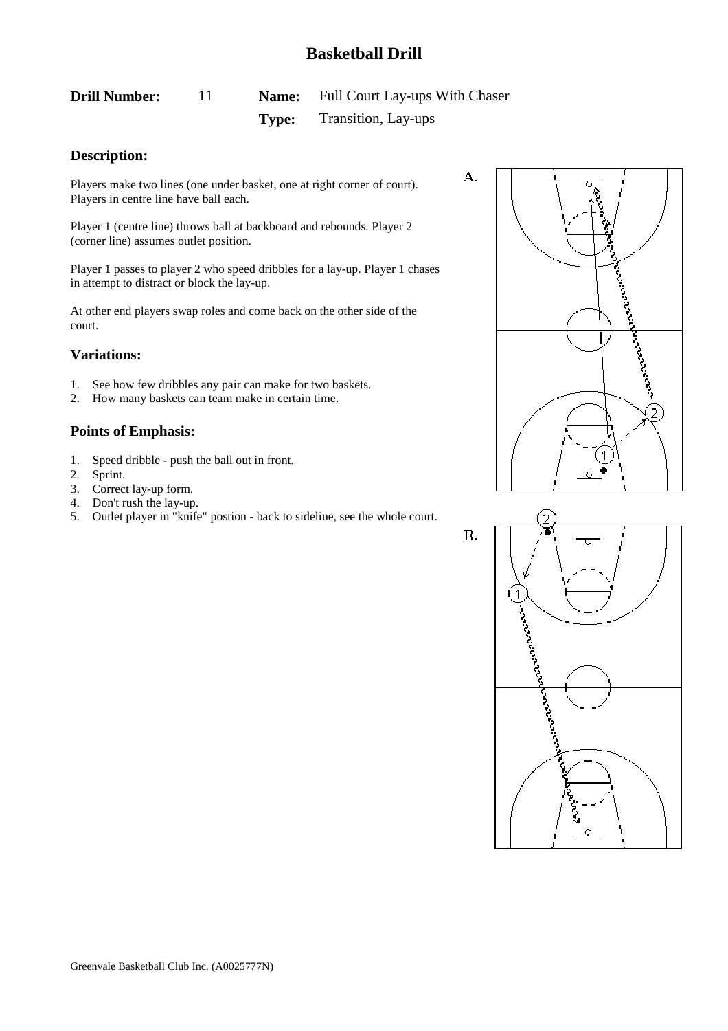# <span id="page-11-0"></span>**Drill Number:** 11 **Name:** Full Court Lay-ups With Chaser **Type:** Transition, Lay-ups

### **Description:**

Players make two lines (one under basket, one at right corner of court). Players in centre line have ball each.

Player 1 (centre line) throws ball at backboard and rebounds. Player 2 (corner line) assumes outlet position.

Player 1 passes to player 2 who speed dribbles for a lay-up. Player 1 chases in attempt to distract or block the lay-up.

At other end players swap roles and come back on the other side of the court.

### **Variations:**

- 1. See how few dribbles any pair can make for two baskets.
- 2. How many baskets can team make in certain time.

#### **Points of Emphasis:**

- 1. Speed dribble push the ball out in front.
- 2. Sprint.
- 3. Correct lay-up form.
- 4. Don't rush the lay-up.
- 5. Outlet player in "knife" postion back to sideline, see the whole court.





А.

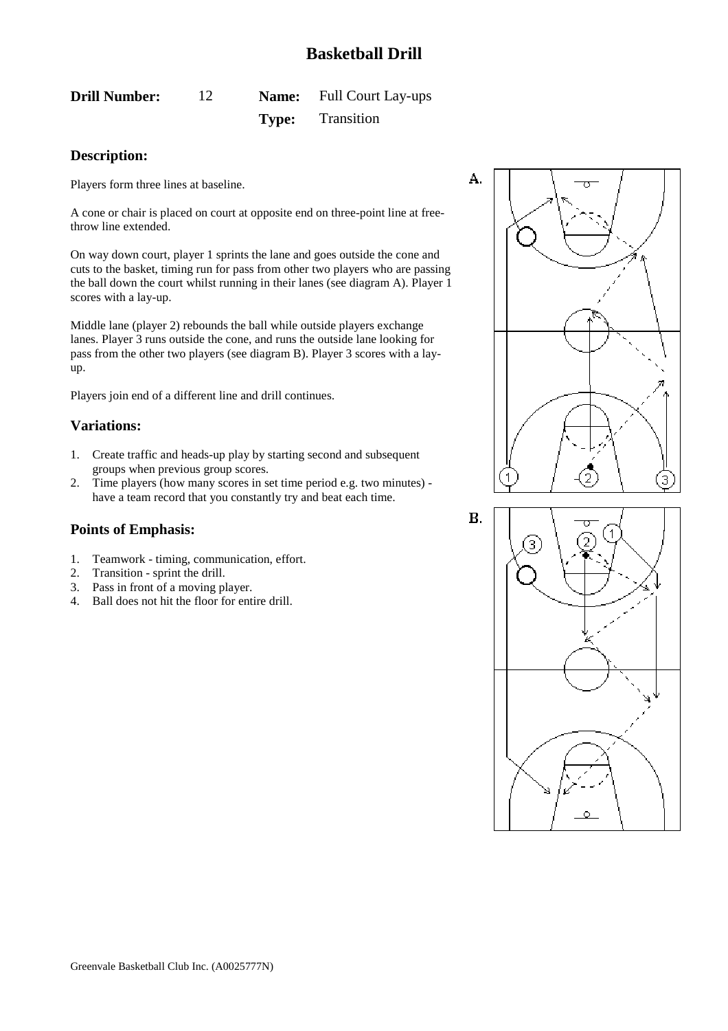# <span id="page-12-0"></span>**Drill Number:** 12 **Name:** Full Court Lay-ups **Type:** Transition

# **Description:**

Players form three lines at baseline.

A cone or chair is placed on court at opposite end on three-point line at freethrow line extended.

On way down court, player 1 sprints the lane and goes outside the cone and cuts to the basket, timing run for pass from other two players who are passing the ball down the court whilst running in their lanes (see diagram A). Player 1 scores with a lay-up.

Middle lane (player 2) rebounds the ball while outside players exchange lanes. Player 3 runs outside the cone, and runs the outside lane looking for pass from the other two players (see diagram B). Player 3 scores with a layup.

Players join end of a different line and drill continues.

### **Variations:**

- 1. Create traffic and heads-up play by starting second and subsequent groups when previous group scores.
- 2. Time players (how many scores in set time period e.g. two minutes) have a team record that you constantly try and beat each time.

- 1. Teamwork timing, communication, effort.
- 2. Transition sprint the drill.
- 3. Pass in front of a moving player.
- 4. Ball does not hit the floor for entire drill.





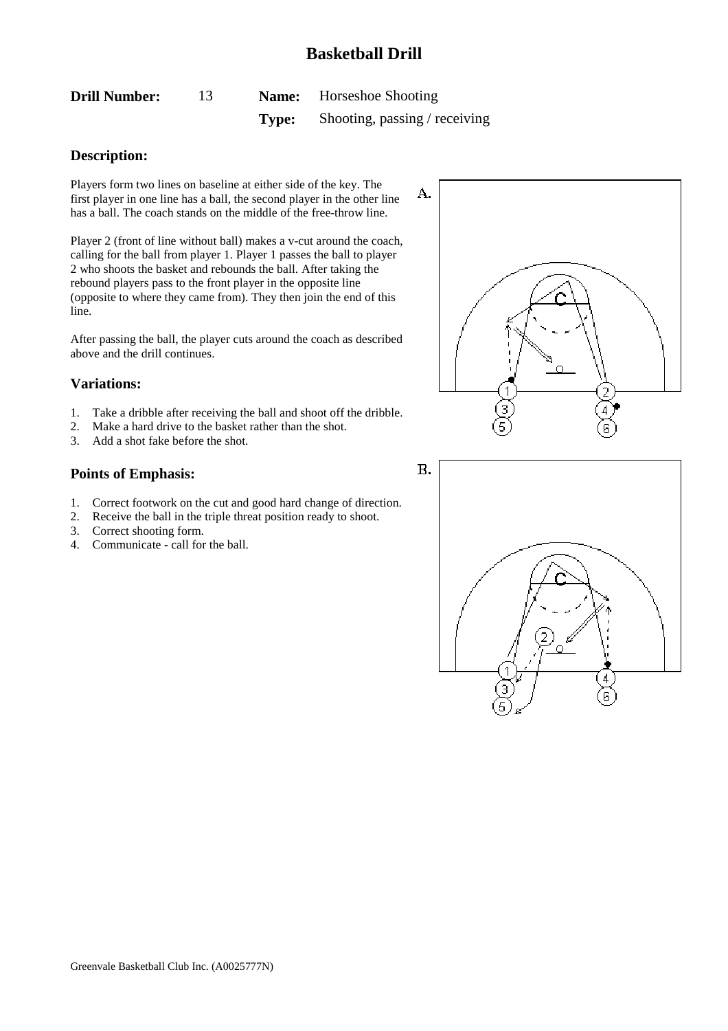<span id="page-13-0"></span>

| <b>Drill Number:</b> |       | <b>Name:</b> Horseshoe Shooting |
|----------------------|-------|---------------------------------|
|                      | Type: | Shooting, passing / receiving   |

### **Description:**

Players form two lines on baseline at either side of the key. The first player in one line has a ball, the second player in the other line has a ball. The coach stands on the middle of the free-throw line.

Player 2 (front of line without ball) makes a v-cut around the coach, calling for the ball from player 1. Player 1 passes the ball to player 2 who shoots the basket and rebounds the ball. After taking the rebound players pass to the front player in the opposite line (opposite to where they came from). They then join the end of this line.

After passing the ball, the player cuts around the coach as described above and the drill continues.

### **Variations:**

- 1. Take a dribble after receiving the ball and shoot off the dribble.
- 2. Make a hard drive to the basket rather than the shot.
- 3. Add a shot fake before the shot.

- 1. Correct footwork on the cut and good hard change of direction.
- 2. Receive the ball in the triple threat position ready to shoot.
- 3. Correct shooting form.
- 4. Communicate call for the ball.



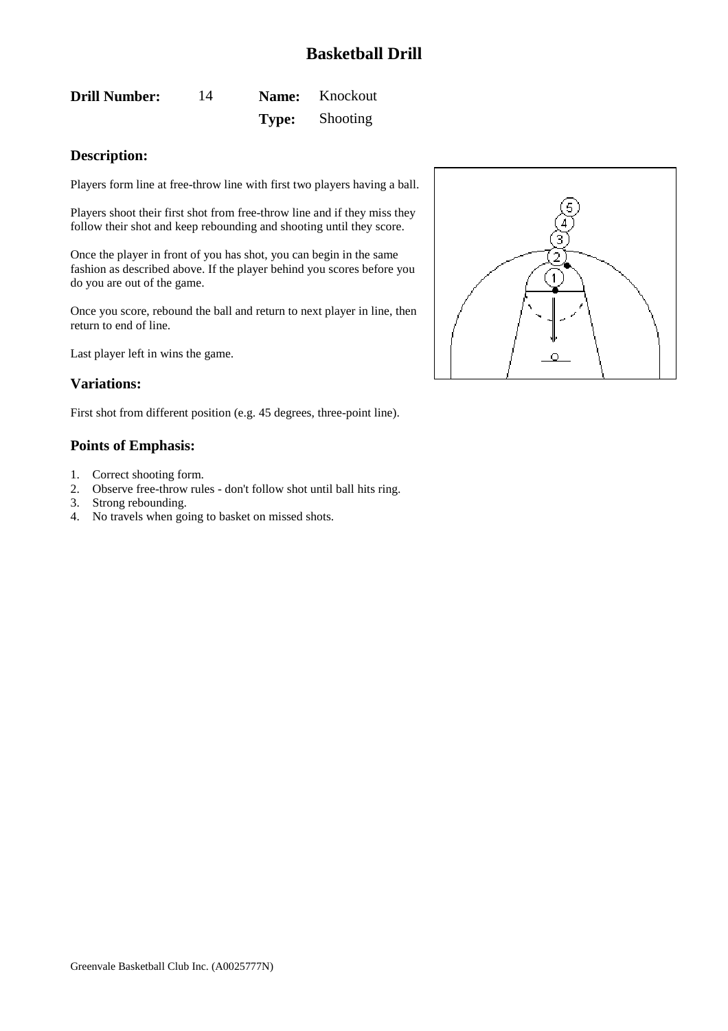<span id="page-14-0"></span>**Drill Number:** 14 **Name:** Knockout **Type:** Shooting

### **Description:**

Players form line at free-throw line with first two players having a ball.

Players shoot their first shot from free-throw line and if they miss they follow their shot and keep rebounding and shooting until they score.

Once the player in front of you has shot, you can begin in the same fashion as described above. If the player behind you scores before you do you are out of the game.

Once you score, rebound the ball and return to next player in line, then return to end of line.

Last player left in wins the game.

#### **Variations:**

First shot from different position (e.g. 45 degrees, three-point line).

- 1. Correct shooting form.
- 2. Observe free-throw rules don't follow shot until ball hits ring.
- 3. Strong rebounding.
- 4. No travels when going to basket on missed shots.

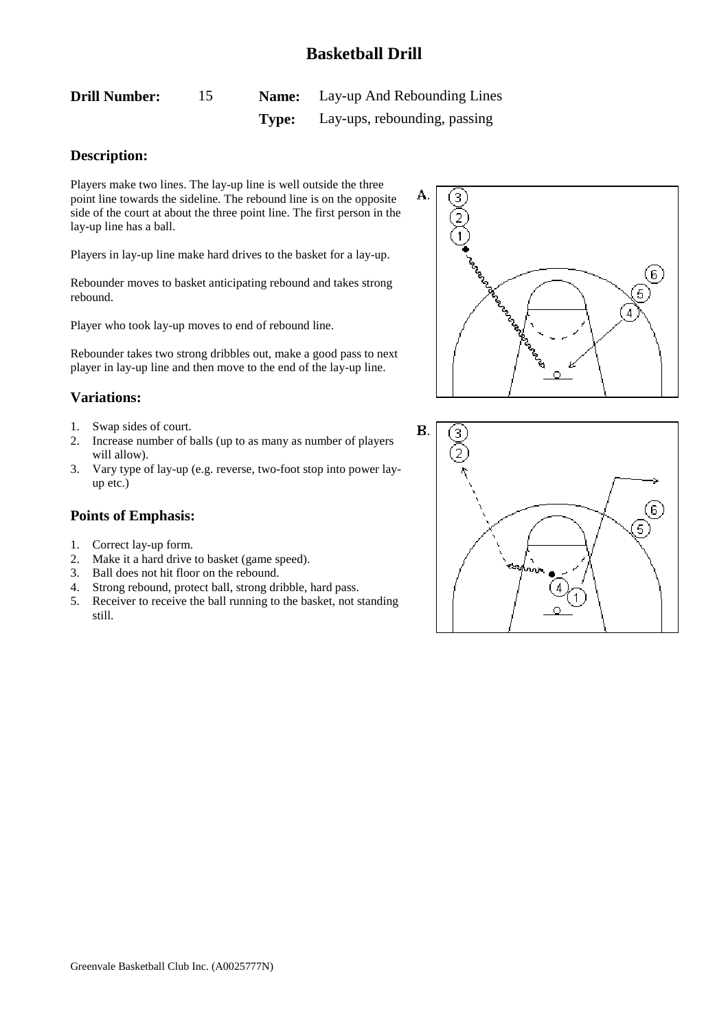<span id="page-15-0"></span>

| <b>Drill Number:</b> |       | <b>Name:</b> Lay-up And Rebounding Lines |
|----------------------|-------|------------------------------------------|
|                      | Type: | Lay-ups, rebounding, passing             |

### **Description:**

Players make two lines. The lay-up line is well outside the three point line towards the sideline. The rebound line is on the opposite side of the court at about the three point line. The first person in the lay-up line has a ball.

Players in lay-up line make hard drives to the basket for a lay-up.

Rebounder moves to basket anticipating rebound and takes strong rebound.

Player who took lay-up moves to end of rebound line.

Rebounder takes two strong dribbles out, make a good pass to next player in lay-up line and then move to the end of the lay-up line.

### **Variations:**

- 1. Swap sides of court.
- 2. Increase number of balls (up to as many as number of players will allow).
- 3. Vary type of lay-up (e.g. reverse, two-foot stop into power layup etc.)

- 1. Correct lay-up form.
- 2. Make it a hard drive to basket (game speed).
- 3. Ball does not hit floor on the rebound.
- 4. Strong rebound, protect ball, strong dribble, hard pass.
- 5. Receiver to receive the ball running to the basket, not standing still.



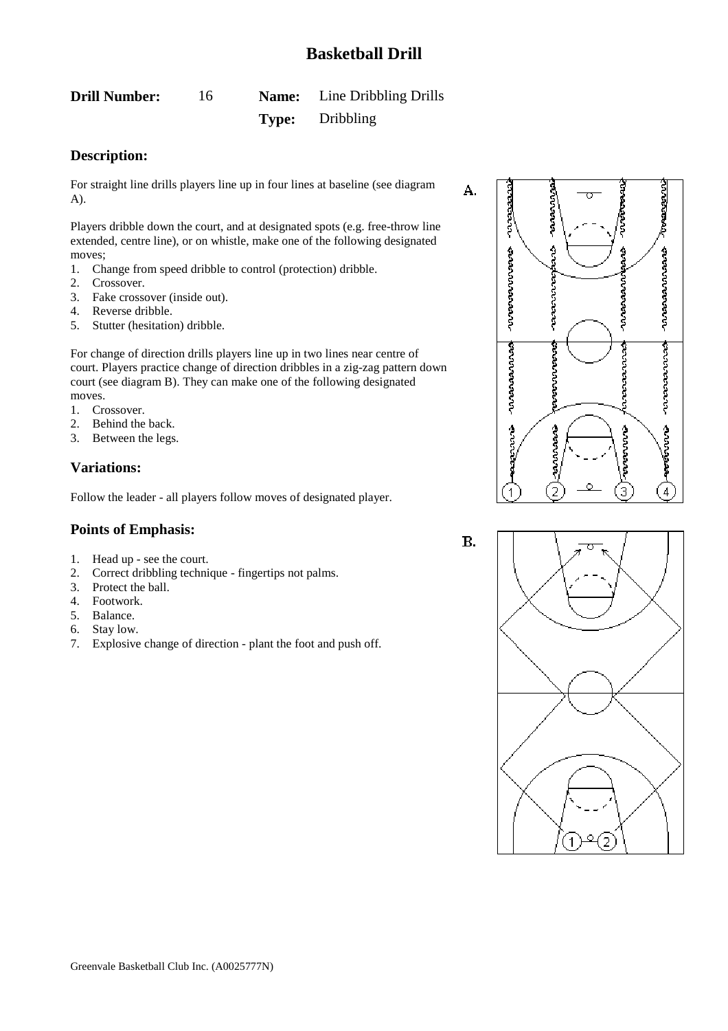<span id="page-16-0"></span>

| <b>Drill Number:</b> |       | <b>Name:</b> Line Dribbling Drills |
|----------------------|-------|------------------------------------|
|                      | Type: | Dribbling                          |

### **Description:**

For straight line drills players line up in four lines at baseline (see diagram A).

Players dribble down the court, and at designated spots (e.g. free-throw line extended, centre line), or on whistle, make one of the following designated moves;

- 1. Change from speed dribble to control (protection) dribble.
- 2. Crossover.
- 3. Fake crossover (inside out).
- 4. Reverse dribble.
- 5. Stutter (hesitation) dribble.

For change of direction drills players line up in two lines near centre of court. Players practice change of direction dribbles in a zig-zag pattern down court (see diagram B). They can make one of the following designated moves.

- 1. Crossover.
- 2. Behind the back.
- 3. Between the legs.

### **Variations:**

Follow the leader - all players follow moves of designated player.

7. Explosive change of direction - plant the foot and push off.

2. Correct dribbling technique - fingertips not palms.

### **Points of Emphasis:**

3. Protect the ball. 4. Footwork. 5. Balance. 6. Stay low.

1. Head up - see the court.

 $\mathbf{B}$ .

A.



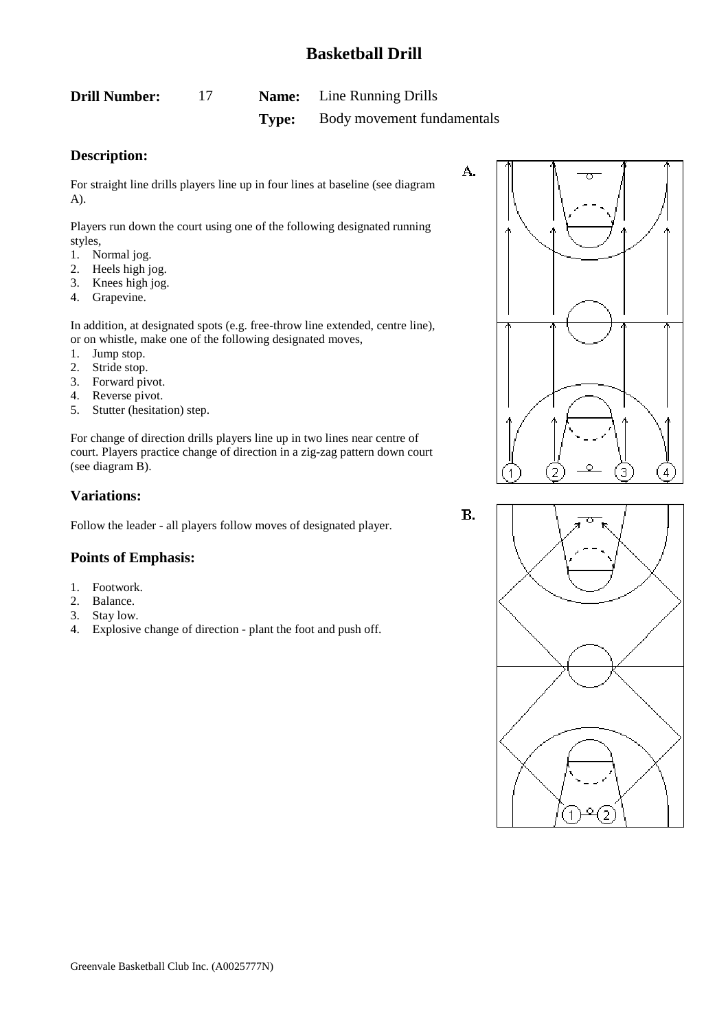<span id="page-17-0"></span>

| <b>Drill Number:</b> |       | <b>Name:</b> Line Running Drills |
|----------------------|-------|----------------------------------|
|                      | Type: | Body movement fundamentals       |

### **Description:**

For straight line drills players line up in four lines at baseline (see diagram A).

Players run down the court using one of the following designated running styles,

- 1. Normal jog.
- 2. Heels high jog.
- 3. Knees high jog.
- 4. Grapevine.

In addition, at designated spots (e.g. free-throw line extended, centre line), or on whistle, make one of the following designated moves,

- 1. Jump stop.
- 2. Stride stop.
- 3. Forward pivot.
- 4. Reverse pivot.
- 5. Stutter (hesitation) step.

For change of direction drills players line up in two lines near centre of court. Players practice change of direction in a zig-zag pattern down court (see diagram B).

### **Variations:**

Follow the leader - all players follow moves of designated player.

#### **Points of Emphasis:**

- 1. Footwork.
- 2. Balance.
- 3. Stay low.
- 4. Explosive change of direction plant the foot and push off.



Β.

A.

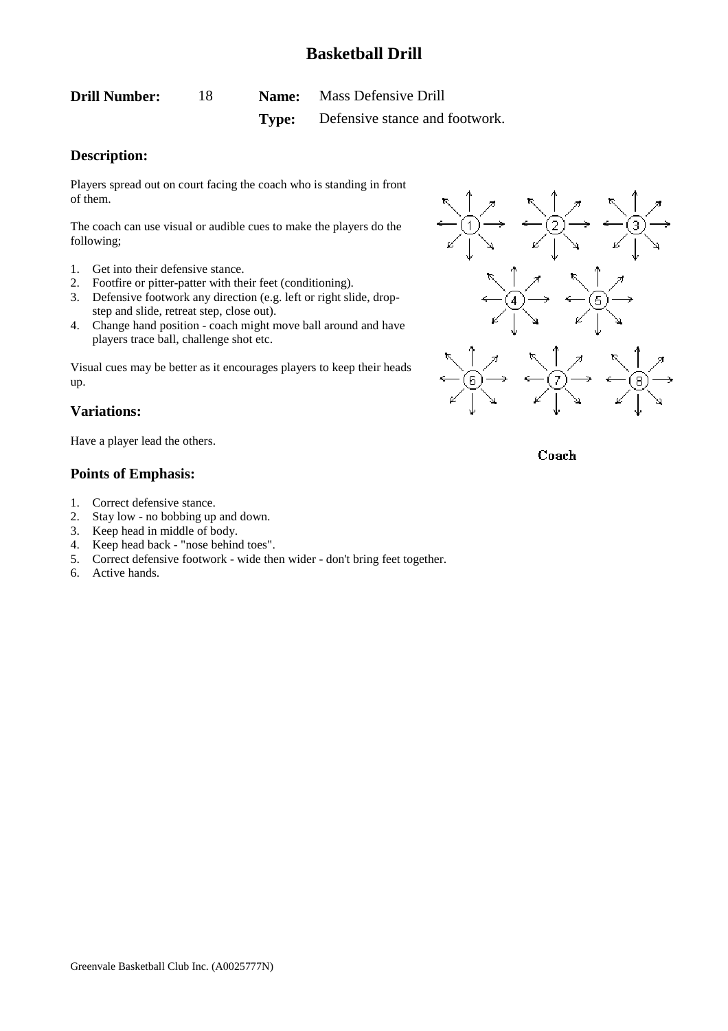<span id="page-18-0"></span>**Drill Number:** 18 **Name:** Mass Defensive Drill **Type:** Defensive stance and footwork.

### **Description:**

Players spread out on court facing the coach who is standing in front of them.

The coach can use visual or audible cues to make the players do the following;

- 1. Get into their defensive stance.
- 2. Footfire or pitter-patter with their feet (conditioning).
- 3. Defensive footwork any direction (e.g. left or right slide, dropstep and slide, retreat step, close out).
- 4. Change hand position coach might move ball around and have players trace ball, challenge shot etc.

Visual cues may be better as it encourages players to keep their heads up.

#### **Variations:**

Have a player lead the others.

#### **Points of Emphasis:**

- 1. Correct defensive stance.
- 2. Stay low no bobbing up and down.
- 3. Keep head in middle of body.
- 4. Keep head back "nose behind toes".
- 5. Correct defensive footwork wide then wider don't bring feet together.
- 6. Active hands.



Coach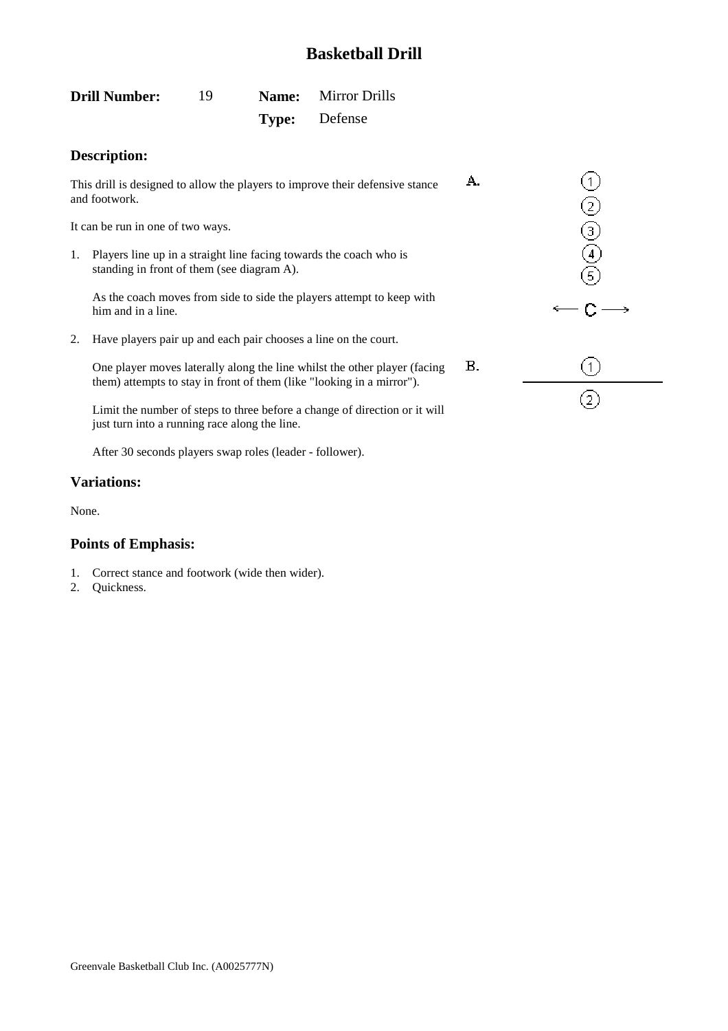A.

<span id="page-19-0"></span>

| <b>Drill Number:</b> | 19 | <b>Name:</b> Mirror Drills |
|----------------------|----|----------------------------|
|                      |    | <b>Type:</b> Defense       |

### **Description:**

This drill is designed to allow the players to improve their defensive stance and footwork.

It can be run in one of two ways.

1. Players line up in a straight line facing towards the coach who is standing in front of them (see diagram A).

As the coach moves from side to side the players attempt to keep with him and in a line.

2. Have players pair up and each pair chooses a line on the court.

 $\mathbf{B}$ . One player moves laterally along the line whilst the other player (facing them) attempts to stay in front of them (like "looking in a mirror").

Limit the number of steps to three before a change of direction or it will just turn into a running race along the line.

After 30 seconds players swap roles (leader - follower).

#### **Variations:**

None.

- 1. Correct stance and footwork (wide then wider).
- 2. Quickness.

| ① ② ③ ④ ⑤        |
|------------------|
| $-C -$           |
| $\left(1\right)$ |
|                  |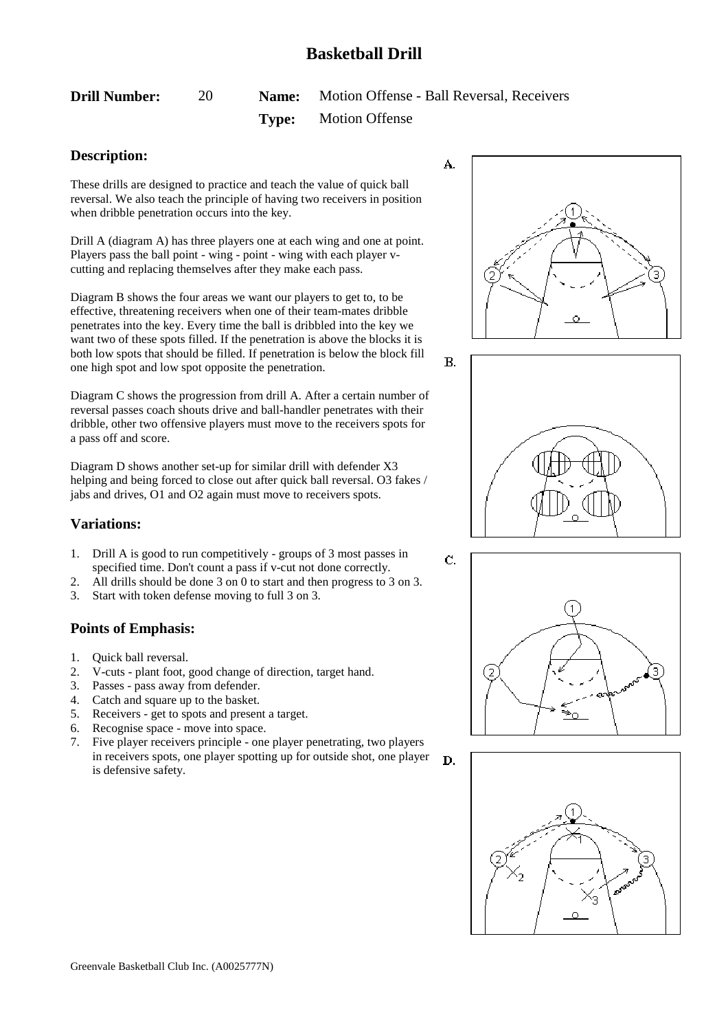<span id="page-20-0"></span>

| <b>Drill Number:</b> |  | <b>Name:</b> Motion Offense - Ball Reversal, Receivers |
|----------------------|--|--------------------------------------------------------|
|                      |  | <b>Type:</b> Motion Offense                            |

### **Description:**

These drills are designed to practice and teach the value of quick ball reversal. We also teach the principle of having two receivers in position when dribble penetration occurs into the key.

Drill A (diagram A) has three players one at each wing and one at point. Players pass the ball point - wing - point - wing with each player vcutting and replacing themselves after they make each pass.

Diagram B shows the four areas we want our players to get to, to be effective, threatening receivers when one of their team-mates dribble penetrates into the key. Every time the ball is dribbled into the key we want two of these spots filled. If the penetration is above the blocks it is both low spots that should be filled. If penetration is below the block fill one high spot and low spot opposite the penetration.

Diagram C shows the progression from drill A. After a certain number of reversal passes coach shouts drive and ball-handler penetrates with their dribble, other two offensive players must move to the receivers spots for a pass off and score.

Diagram D shows another set-up for similar drill with defender X3 helping and being forced to close out after quick ball reversal. O3 fakes / jabs and drives, O1 and O2 again must move to receivers spots.

### **Variations:**

- 1. Drill A is good to run competitively groups of 3 most passes in specified time. Don't count a pass if v-cut not done correctly.
- 2. All drills should be done 3 on 0 to start and then progress to 3 on 3.
- 3. Start with token defense moving to full 3 on 3.

## **Points of Emphasis:**

- 1. Quick ball reversal.
- 2. V-cuts plant foot, good change of direction, target hand.
- 3. Passes pass away from defender.
- 4. Catch and square up to the basket.
- 5. Receivers get to spots and present a target.
- 6. Recognise space move into space.
- 7. Five player receivers principle one player penetrating, two players in receivers spots, one player spotting up for outside shot, one player D. is defensive safety.







 $\mathbf{C}$ 

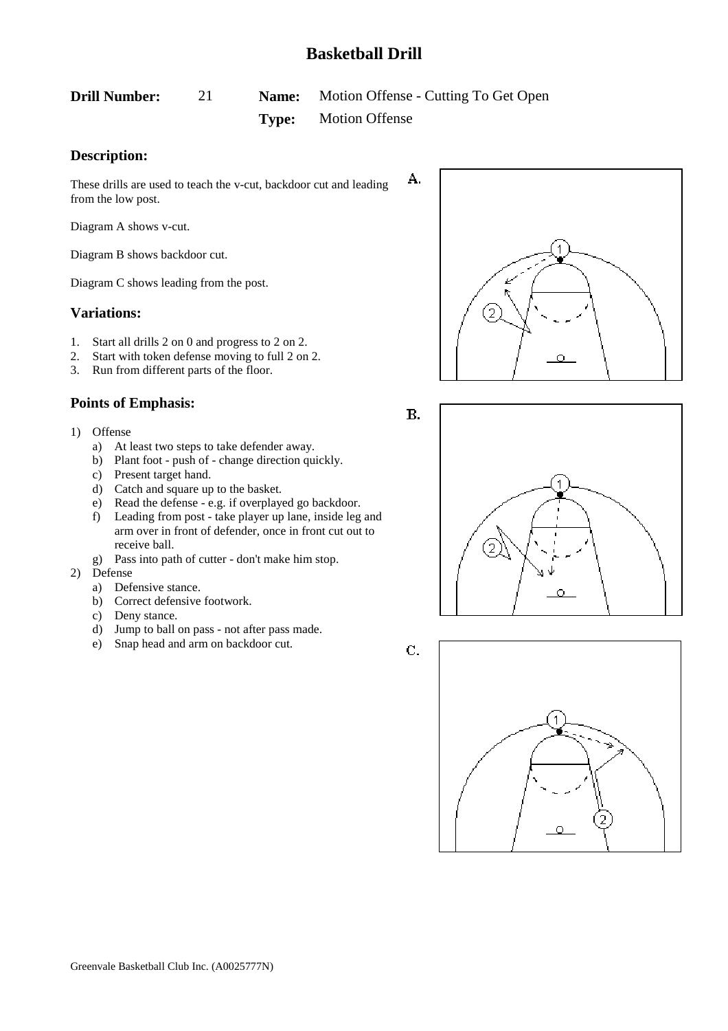А.

 $B.$ 

<span id="page-21-0"></span>

| <b>Drill Number:</b> |       | <b>Name:</b> Motion Offense - Cutting To Get Open |
|----------------------|-------|---------------------------------------------------|
|                      | Type: | <b>Motion Offense</b>                             |

### **Description:**

These drills are used to teach the v-cut, backdoor cut and leading from the low post.

Diagram A shows v-cut.

Diagram B shows backdoor cut.

Diagram C shows leading from the post.

#### **Variations:**

- 1. Start all drills 2 on 0 and progress to 2 on 2.
- 2. Start with token defense moving to full 2 on 2.
- 3. Run from different parts of the floor.

- 1) Offense
	- a) At least two steps to take defender away.
	- b) Plant foot push of change direction quickly.
	- c) Present target hand.
	- d) Catch and square up to the basket.
	- e) Read the defense e.g. if overplayed go backdoor.
	- f) Leading from post take player up lane, inside leg and arm over in front of defender, once in front cut out to receive ball.
	- g) Pass into path of cutter don't make him stop.
- 2) Defense
	- a) Defensive stance.
	- b) Correct defensive footwork.
	- c) Deny stance.
	- d) Jump to ball on pass not after pass made.
	- e) Snap head and arm on backdoor cut.







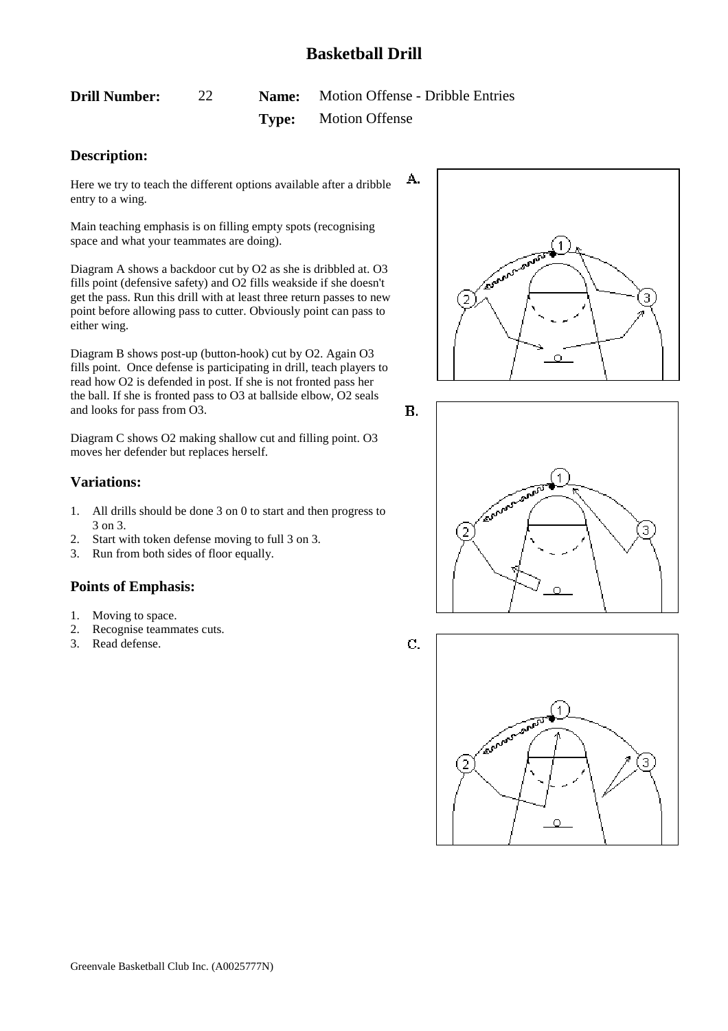<span id="page-22-0"></span>**Drill Number:** 22 **Name:** Motion Offense - Dribble Entries **Type:** Motion Offense

### **Description:**

A. Here we try to teach the different options available after a dribble entry to a wing.

Main teaching emphasis is on filling empty spots (recognising space and what your teammates are doing).

Diagram A shows a backdoor cut by O2 as she is dribbled at. O3 fills point (defensive safety) and O2 fills weakside if she doesn't get the pass. Run this drill with at least three return passes to new point before allowing pass to cutter. Obviously point can pass to either wing.

Diagram B shows post-up (button-hook) cut by O2. Again O3 fills point. Once defense is participating in drill, teach players to read how O2 is defended in post. If she is not fronted pass her the ball. If she is fronted pass to O3 at ballside elbow, O2 seals and looks for pass from O3.

Diagram C shows O2 making shallow cut and filling point. O3 moves her defender but replaces herself.

### **Variations:**

- 1. All drills should be done 3 on 0 to start and then progress to 3 on 3.
- 2. Start with token defense moving to full 3 on 3.
- 3. Run from both sides of floor equally.

## **Points of Emphasis:**

- 1. Moving to space.
- 2. Recognise teammates cuts.
- 3. Read defense.

1 Economic Bancor 3  $\overline{2}$ 





C.

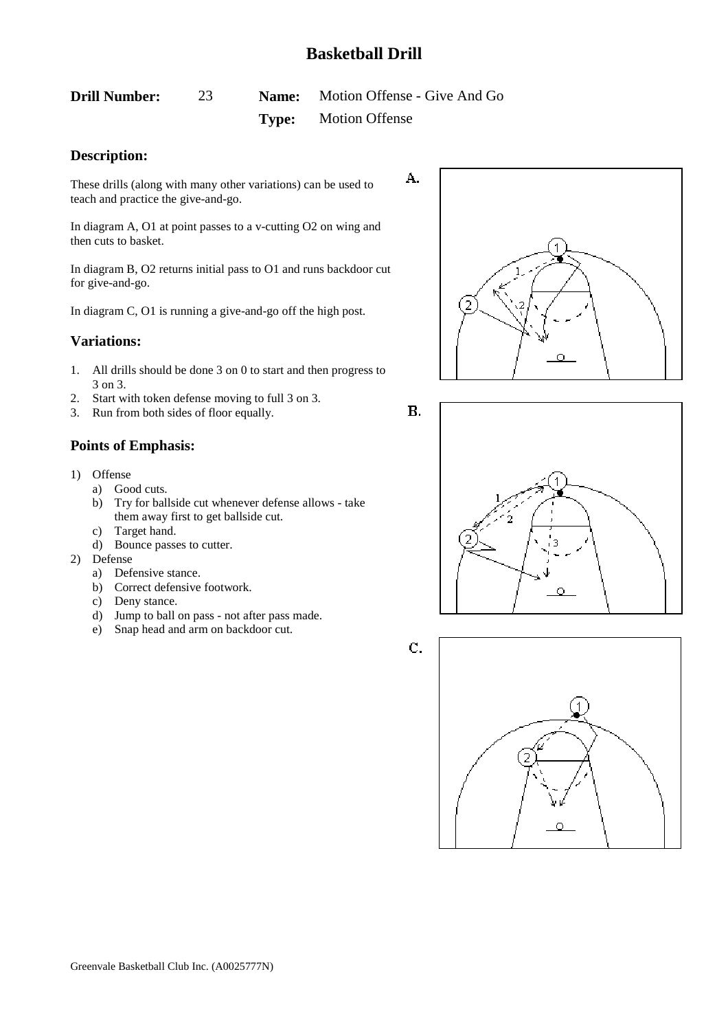А.

 $B.$ 

<span id="page-23-0"></span>**Drill Number:** 23 **Name:** Motion Offense - Give And Go **Type:** Motion Offense

### **Description:**

These drills (along with many other variations) can be used to teach and practice the give-and-go.

In diagram A, O1 at point passes to a v-cutting O2 on wing and then cuts to basket.

In diagram B, O2 returns initial pass to O1 and runs backdoor cut for give-and-go.

In diagram C, O1 is running a give-and-go off the high post.

#### **Variations:**

- 1. All drills should be done 3 on 0 to start and then progress to 3 on 3.
- 2. Start with token defense moving to full 3 on 3.
- 3. Run from both sides of floor equally.

### **Points of Emphasis:**

- 1) Offense
	- a) Good cuts.
	- b) Try for ballside cut whenever defense allows take them away first to get ballside cut.
	- c) Target hand.
	- d) Bounce passes to cutter.
- 2) Defense
	- a) Defensive stance.
	- b) Correct defensive footwork.
	- c) Deny stance.
	- d) Jump to ball on pass not after pass made.
	- e) Snap head and arm on backdoor cut.





C.

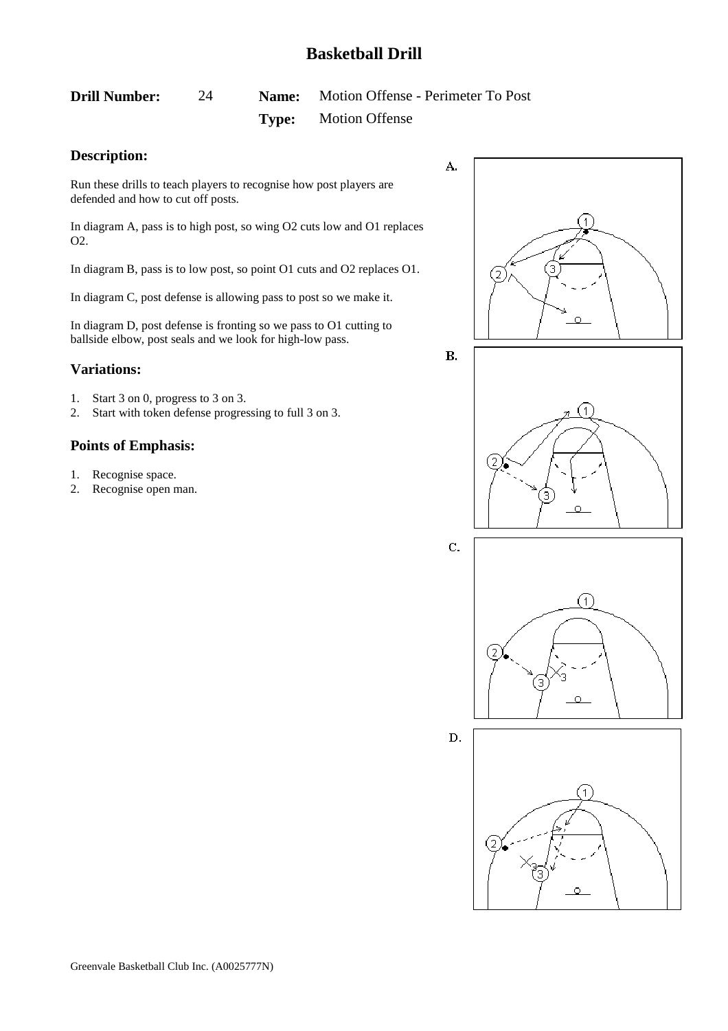# <span id="page-24-0"></span>**Drill Number:** 24 **Name:** Motion Offense - Perimeter To Post **Type:** Motion Offense

### **Description:**

Run these drills to teach players to recognise how post players are defended and how to cut off posts.

In diagram A, pass is to high post, so wing O2 cuts low and O1 replaces O2.

In diagram B, pass is to low post, so point O1 cuts and O2 replaces O1.

In diagram C, post defense is allowing pass to post so we make it.

In diagram D, post defense is fronting so we pass to O1 cutting to ballside elbow, post seals and we look for high-low pass.

### **Variations:**

- 1. Start 3 on 0, progress to 3 on 3.
- 2. Start with token defense progressing to full 3 on 3.

- 1. Recognise space.
- 2. Recognise open man.









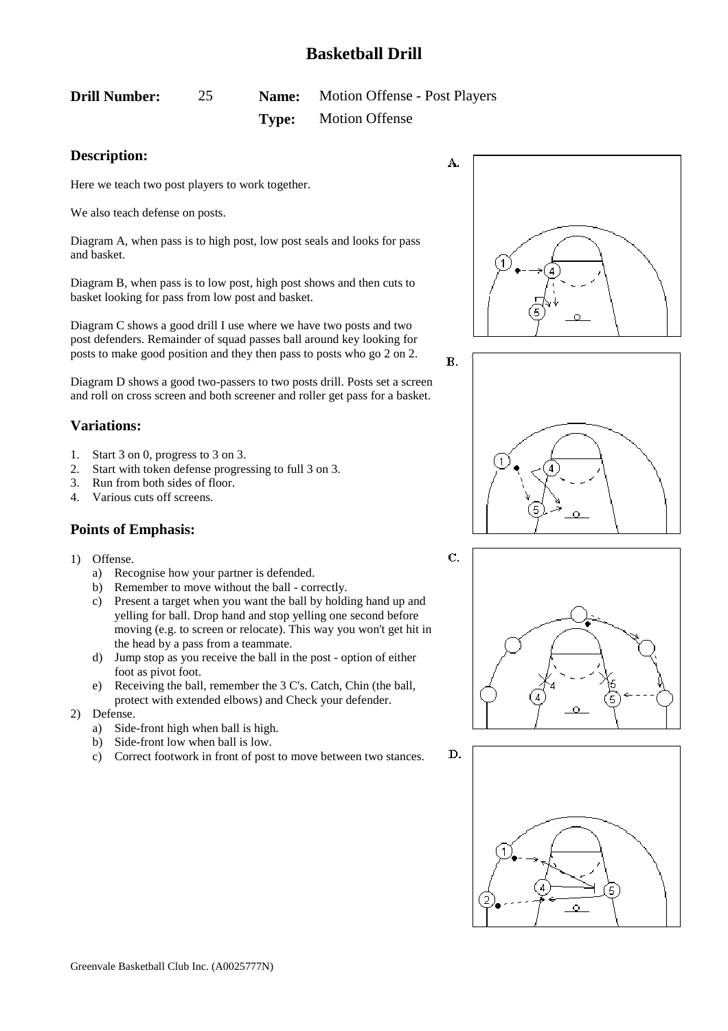# <span id="page-25-0"></span>**Drill Number:** 25 **Name:** Motion Offense - Post Players **Type:** Motion Offense

### **Description:**

Here we teach two post players to work together.

We also teach defense on posts.

Diagram A, when pass is to high post, low post seals and looks for pass and basket.

Diagram B, when pass is to low post, high post shows and then cuts to basket looking for pass from low post and basket.

Diagram C shows a good drill I use where we have two posts and two post defenders. Remainder of squad passes ball around key looking for posts to make good position and they then pass to posts who go 2 on 2.

Diagram D shows a good two-passers to two posts drill. Posts set a screen and roll on cross screen and both screener and roller get pass for a basket.

## **Variations:**

- 1. Start 3 on 0, progress to 3 on 3.
- 2. Start with token defense progressing to full 3 on 3.
- 3. Run from both sides of floor.
- 4. Various cuts off screens.

- 1) Offense.
	- a) Recognise how your partner is defended.
	- b) Remember to move without the ball correctly.
	- c) Present a target when you want the ball by holding hand up and yelling for ball. Drop hand and stop yelling one second before moving (e.g. to screen or relocate). This way you won't get hit in the head by a pass from a teammate.
	- d) Jump stop as you receive the ball in the post option of either foot as pivot foot.
	- e) Receiving the ball, remember the 3 C's. Catch, Chin (the ball, protect with extended elbows) and Check your defender.
- 2) Defense.
	- a) Side-front high when ball is high.
	- b) Side-front low when ball is low.
	- c) Correct footwork in front of post to move between two stances.







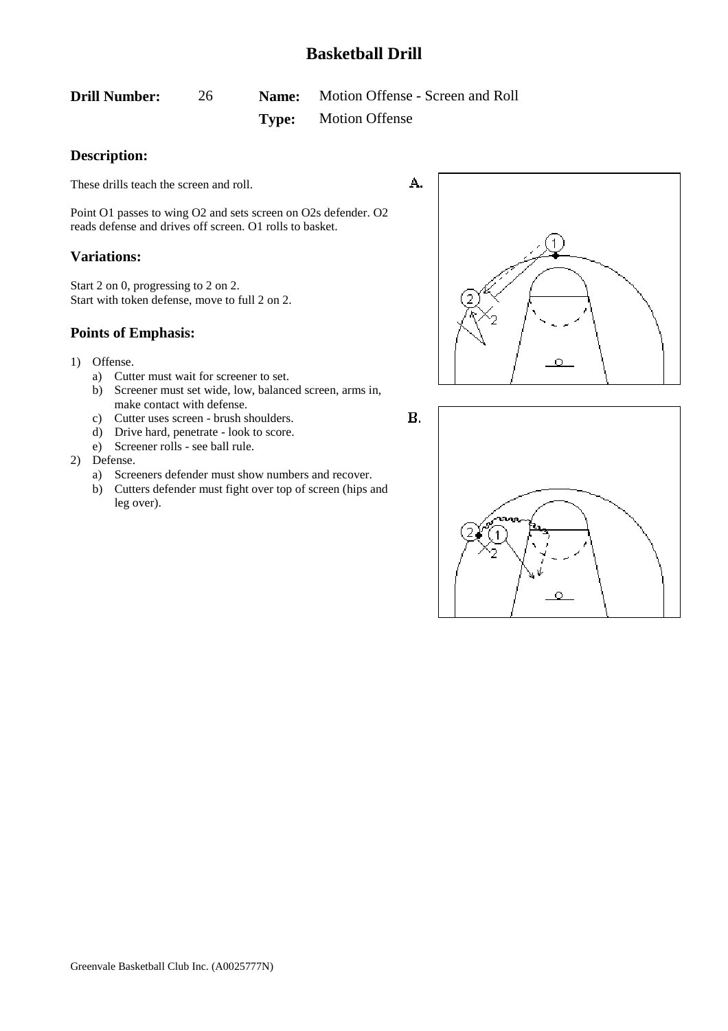<span id="page-26-0"></span>**Drill Number:** 26 **Name:** Motion Offense - Screen and Roll **Type:** Motion Offense

### **Description:**

These drills teach the screen and roll.

Point O1 passes to wing O2 and sets screen on O2s defender. O2 reads defense and drives off screen. O1 rolls to basket.

### **Variations:**

Start 2 on 0, progressing to 2 on 2. Start with token defense, move to full 2 on 2.

### **Points of Emphasis:**

- 1) Offense.
	- a) Cutter must wait for screener to set.
	- b) Screener must set wide, low, balanced screen, arms in, make contact with defense.
	- c) Cutter uses screen brush shoulders.
	- d) Drive hard, penetrate look to score.
	- e) Screener rolls see ball rule.

#### 2) Defense.

- a) Screeners defender must show numbers and recover.
- b) Cutters defender must fight over top of screen (hips and leg over).



 $B.$ 

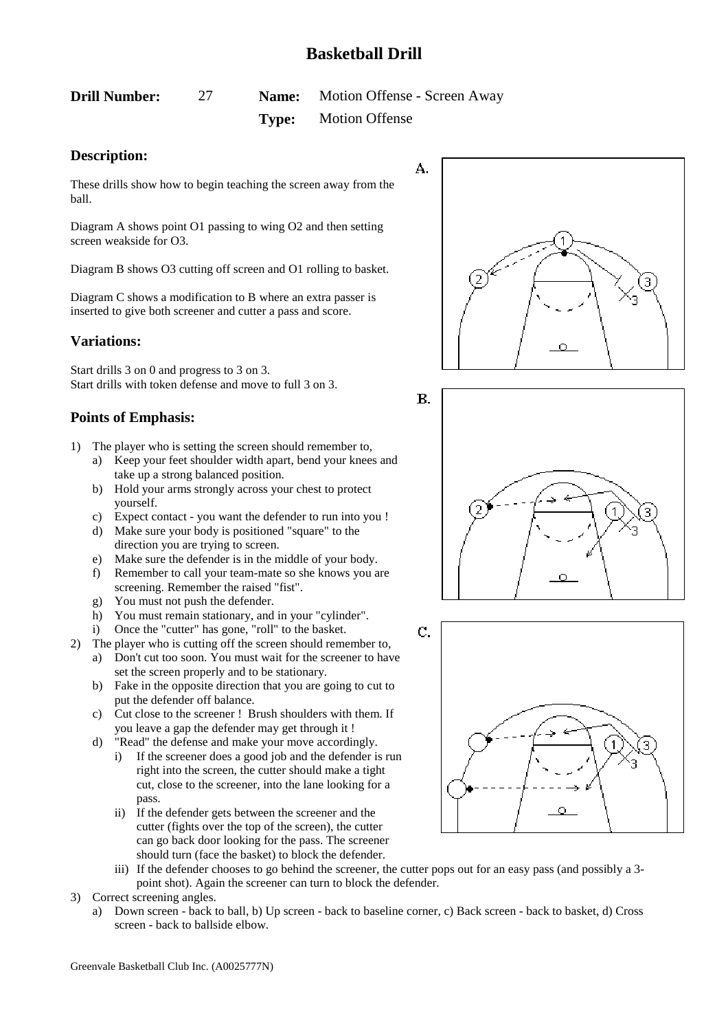<span id="page-27-0"></span>**Drill Number:** 27 **Name:** Motion Offense - Screen Away **Type:** Motion Offense

## **Description:**

These drills show how to begin teaching the screen away from the ball.

Diagram A shows point O1 passing to wing O2 and then setting screen weakside for O3.

Diagram B shows O3 cutting off screen and O1 rolling to basket.

Diagram C shows a modification to B where an extra passer is inserted to give both screener and cutter a pass and score.

## **Variations:**

Start drills 3 on 0 and progress to 3 on 3. Start drills with token defense and move to full 3 on 3.

- 1) The player who is setting the screen should remember to,
	- a) Keep your feet shoulder width apart, bend your knees and take up a strong balanced position.
	- b) Hold your arms strongly across your chest to protect yourself.
	- c) Expect contact you want the defender to run into you !
	- d) Make sure your body is positioned "square" to the direction you are trying to screen.
	- e) Make sure the defender is in the middle of your body.
	- f) Remember to call your team-mate so she knows you are screening. Remember the raised "fist".
	- g) You must not push the defender.
	- h) You must remain stationary, and in your "cylinder".
	- i) Once the "cutter" has gone, "roll" to the basket.
- 2) The player who is cutting off the screen should remember to,
	- a) Don't cut too soon. You must wait for the screener to have set the screen properly and to be stationary.
	- b) Fake in the opposite direction that you are going to cut to put the defender off balance.
	- c) Cut close to the screener ! Brush shoulders with them. If you leave a gap the defender may get through it !
	- d) "Read" the defense and make your move accordingly.
		- i) If the screener does a good job and the defender is run right into the screen, the cutter should make a tight cut, close to the screener, into the lane looking for a pass.
		- ii) If the defender gets between the screener and the cutter (fights over the top of the screen), the cutter can go back door looking for the pass. The screener should turn (face the basket) to block the defender.
		- iii) If the defender chooses to go behind the screener, the cutter pops out for an easy pass (and possibly a 3 point shot). Again the screener can turn to block the defender.
- 3) Correct screening angles.
	- a) Down screen back to ball, b) Up screen back to baseline corner, c) Back screen back to basket, d) Cross screen - back to ballside elbow.





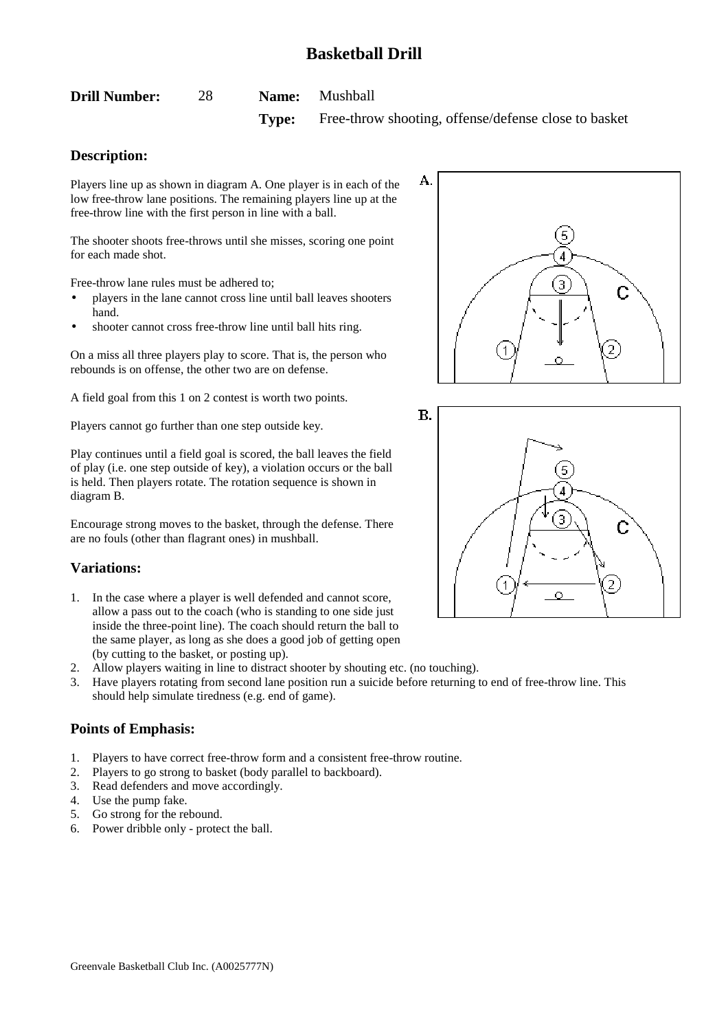<span id="page-28-0"></span>

| <b>Drill Number:</b> | 28 | Name: | Mushball |
|----------------------|----|-------|----------|
|----------------------|----|-------|----------|

**Type:** Free-throw shooting, offense/defense close to basket

# **Description:**

Players line up as shown in diagram A. One player is in each of the low free-throw lane positions. The remaining players line up at the free-throw line with the first person in line with a ball.

The shooter shoots free-throws until she misses, scoring one point for each made shot.

Free-throw lane rules must be adhered to;

- players in the lane cannot cross line until ball leaves shooters hand.
- shooter cannot cross free-throw line until ball hits ring.

On a miss all three players play to score. That is, the person who rebounds is on offense, the other two are on defense.

A field goal from this 1 on 2 contest is worth two points.

Players cannot go further than one step outside key.

Play continues until a field goal is scored, the ball leaves the field of play (i.e. one step outside of key), a violation occurs or the ball is held. Then players rotate. The rotation sequence is shown in diagram B.

Encourage strong moves to the basket, through the defense. There are no fouls (other than flagrant ones) in mushball.

## **Variations:**

- 1. In the case where a player is well defended and cannot score, allow a pass out to the coach (who is standing to one side just inside the three-point line). The coach should return the ball to the same player, as long as she does a good job of getting open (by cutting to the basket, or posting up).
- 2. Allow players waiting in line to distract shooter by shouting etc. (no touching).
- 3. Have players rotating from second lane position run a suicide before returning to end of free-throw line. This should help simulate tiredness (e.g. end of game).

- 1. Players to have correct free-throw form and a consistent free-throw routine.
- 2. Players to go strong to basket (body parallel to backboard).
- 3. Read defenders and move accordingly.
- 4. Use the pump fake.
- 5. Go strong for the rebound.
- 6. Power dribble only protect the ball.



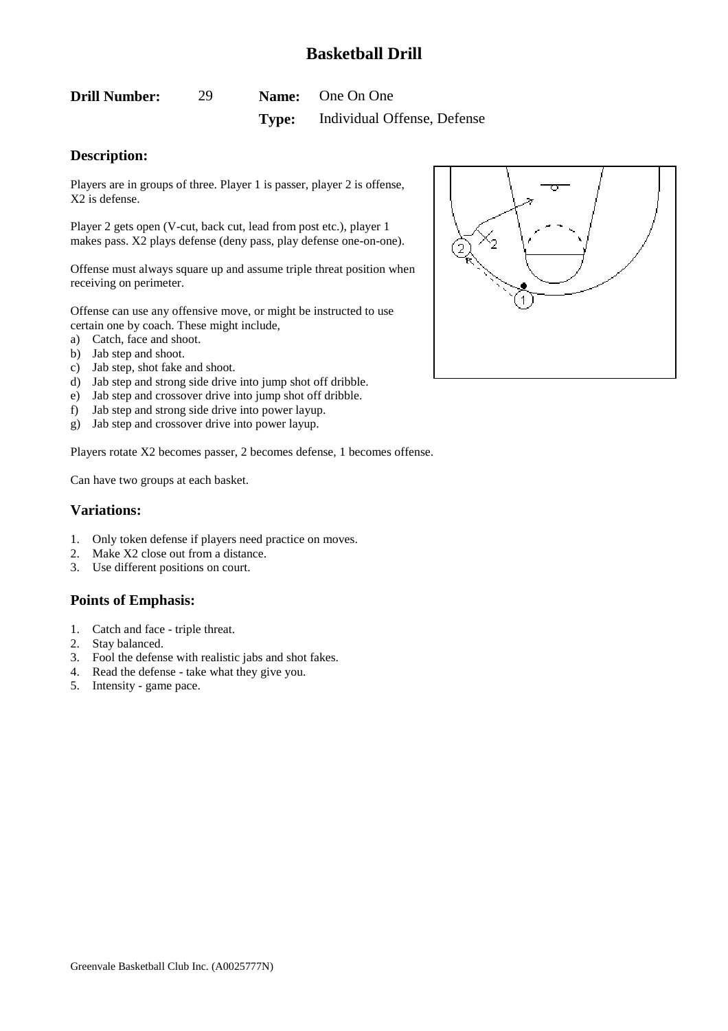<span id="page-29-0"></span>

| <b>Drill Number:</b> |  | <b>Name:</b> One On One                  |
|----------------------|--|------------------------------------------|
|                      |  | <b>Type:</b> Individual Offense, Defense |

### **Description:**

Players are in groups of three. Player 1 is passer, player 2 is offense, X2 is defense.

Player 2 gets open (V-cut, back cut, lead from post etc.), player 1 makes pass. X2 plays defense (deny pass, play defense one-on-one).

Offense must always square up and assume triple threat position when receiving on perimeter.

Offense can use any offensive move, or might be instructed to use certain one by coach. These might include,

- a) Catch, face and shoot.
- b) Jab step and shoot.
- c) Jab step, shot fake and shoot.
- d) Jab step and strong side drive into jump shot off dribble.
- e) Jab step and crossover drive into jump shot off dribble.
- f) Jab step and strong side drive into power layup.
- g) Jab step and crossover drive into power layup.

Players rotate X2 becomes passer, 2 becomes defense, 1 becomes offense.

Can have two groups at each basket.

#### **Variations:**

- 1. Only token defense if players need practice on moves.
- 2. Make X2 close out from a distance.
- 3. Use different positions on court.

- 1. Catch and face triple threat.
- 2. Stay balanced.
- 3. Fool the defense with realistic jabs and shot fakes.
- 4. Read the defense take what they give you.
- 5. Intensity game pace.

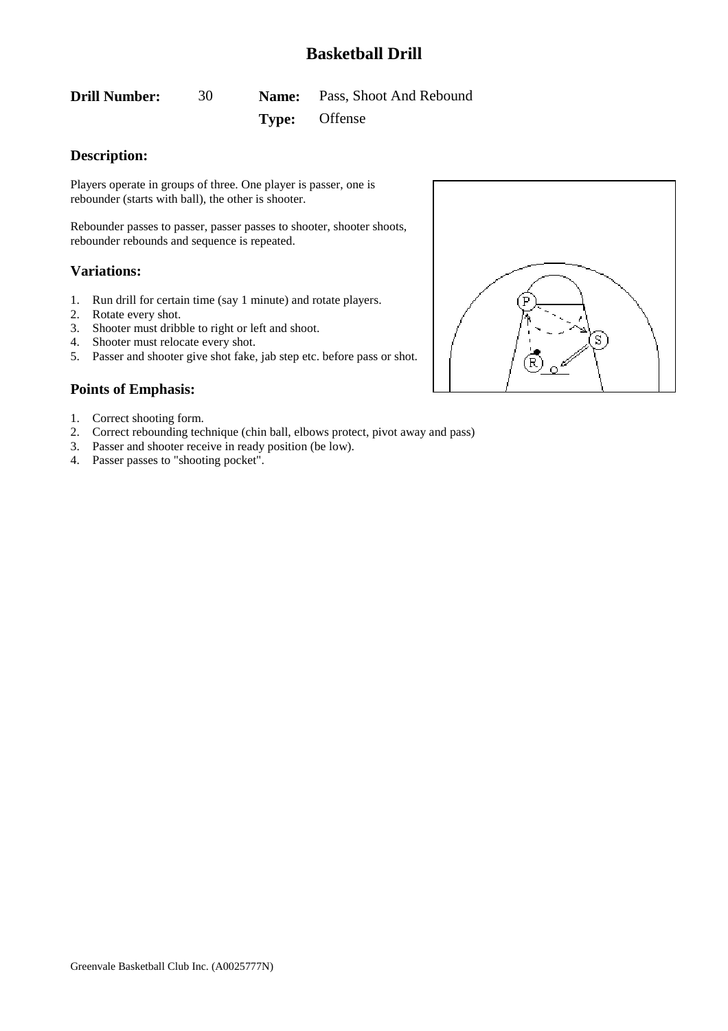<span id="page-30-0"></span>**Drill Number:** 30 **Name:** Pass, Shoot And Rebound

### **Type:** Offense

# **Description:**

Players operate in groups of three. One player is passer, one is rebounder (starts with ball), the other is shooter.

Rebounder passes to passer, passer passes to shooter, shooter shoots, rebounder rebounds and sequence is repeated.

### **Variations:**

- 1. Run drill for certain time (say 1 minute) and rotate players.
- 2. Rotate every shot.
- 3. Shooter must dribble to right or left and shoot.
- 4. Shooter must relocate every shot.
- 5. Passer and shooter give shot fake, jab step etc. before pass or shot.

- 1. Correct shooting form.
- 2. Correct rebounding technique (chin ball, elbows protect, pivot away and pass)
- 3. Passer and shooter receive in ready position (be low).
- 4. Passer passes to "shooting pocket".

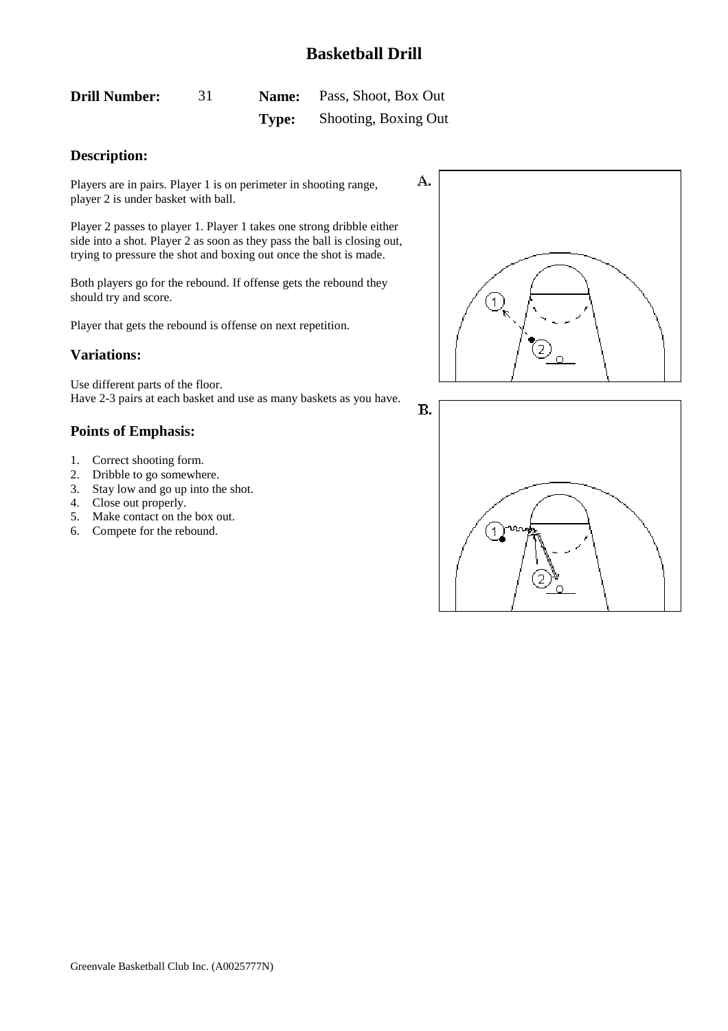$\mathbf{B}$ .

<span id="page-31-0"></span>

| <b>Drill Number:</b> |       | <b>Name:</b> Pass, Shoot, Box Out |
|----------------------|-------|-----------------------------------|
|                      | Type: | Shooting, Boxing Out              |

### **Description:**

Players are in pairs. Player 1 is on perimeter in shooting range, player 2 is under basket with ball.

Player 2 passes to player 1. Player 1 takes one strong dribble either side into a shot. Player 2 as soon as they pass the ball is closing out, trying to pressure the shot and boxing out once the shot is made.

Both players go for the rebound. If offense gets the rebound they should try and score.

Player that gets the rebound is offense on next repetition.

### **Variations:**

Use different parts of the floor. Have 2-3 pairs at each basket and use as many baskets as you have.

- 1. Correct shooting form.
- 2. Dribble to go somewhere.
- 3. Stay low and go up into the shot.
- 4. Close out properly.
- 5. Make contact on the box out.
- 6. Compete for the rebound.



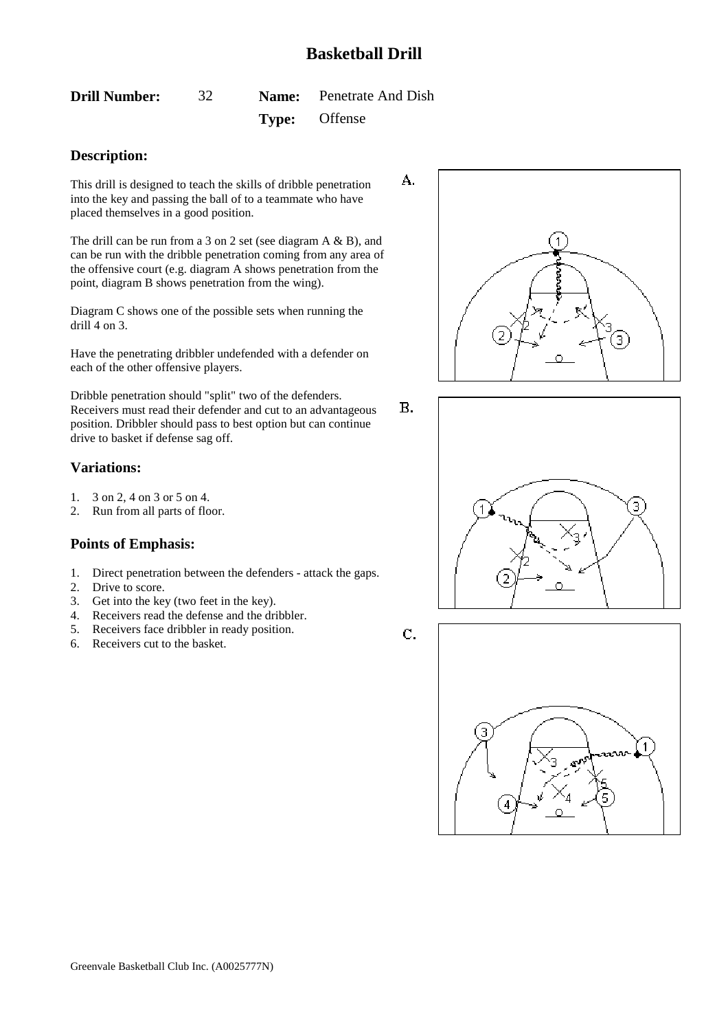A.

**B.** 

<span id="page-32-0"></span>**Drill Number:** 32 **Name:** Penetrate And Dish

# **Type:** Offense

### **Description:**

This drill is designed to teach the skills of dribble penetration into the key and passing the ball of to a teammate who have placed themselves in a good position.

The drill can be run from a 3 on 2 set (see diagram A & B), and can be run with the dribble penetration coming from any area of the offensive court (e.g. diagram A shows penetration from the point, diagram B shows penetration from the wing).

Diagram C shows one of the possible sets when running the drill 4 on 3.

Have the penetrating dribbler undefended with a defender on each of the other offensive players.

Dribble penetration should "split" two of the defenders. Receivers must read their defender and cut to an advantageous position. Dribbler should pass to best option but can continue drive to basket if defense sag off.

### **Variations:**

- 1. 3 on 2, 4 on 3 or 5 on 4.
- 2. Run from all parts of floor.

### **Points of Emphasis:**

- 1. Direct penetration between the defenders attack the gaps.
- 2. Drive to score.
- 3. Get into the key (two feet in the key).
- 4. Receivers read the defense and the dribbler.
- 5. Receivers face dribbler in ready position.
- 6. Receivers cut to the basket.





C.

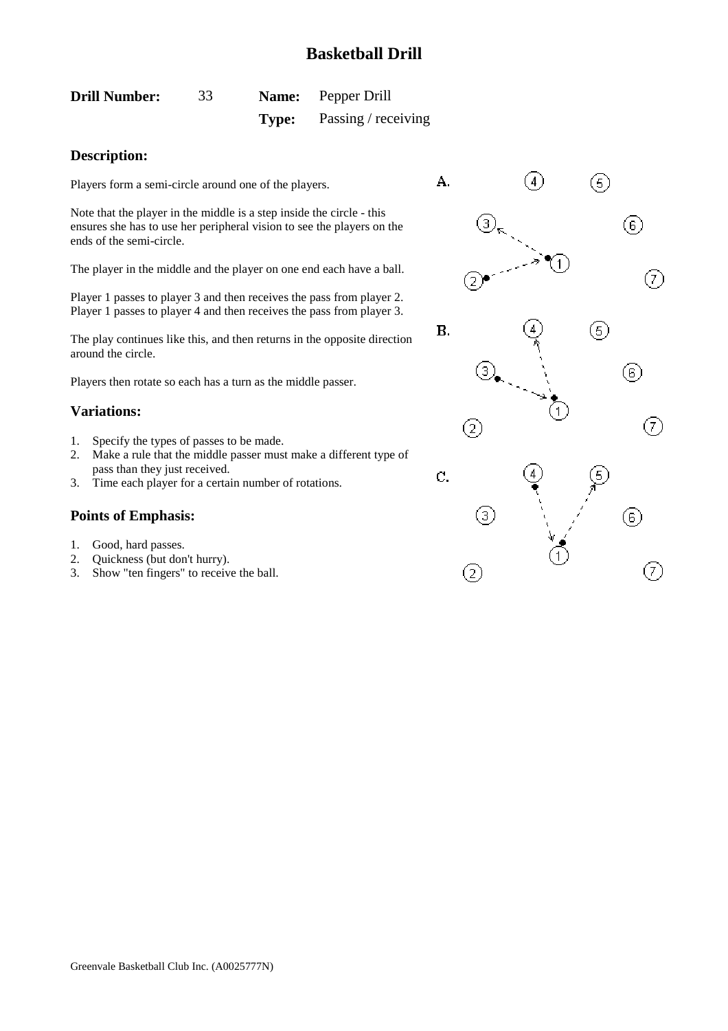<span id="page-33-0"></span>

| <b>Drill Number:</b> | 33 |       | <b>Name:</b> Pepper Drill |
|----------------------|----|-------|---------------------------|
|                      |    | Type: | Passing / receiving       |

### **Description:**

Players form a semi-circle around one of the players.

Note that the player in the middle is a step inside the circle - this ensures she has to use her peripheral vision to see the players on the ends of the semi-circle.

The player in the middle and the player on one end each have a ball.

Player 1 passes to player 3 and then receives the pass from player 2. Player 1 passes to player 4 and then receives the pass from player 3.

The play continues like this, and then returns in the opposite direction around the circle.

Players then rotate so each has a turn as the middle passer.

### **Variations:**

- 1. Specify the types of passes to be made.
- 2. Make a rule that the middle passer must make a different type of pass than they just received.
- 3. Time each player for a certain number of rotations.

- 1. Good, hard passes.
- 2. Quickness (but don't hurry).
- 3. Show "ten fingers" to receive the ball.

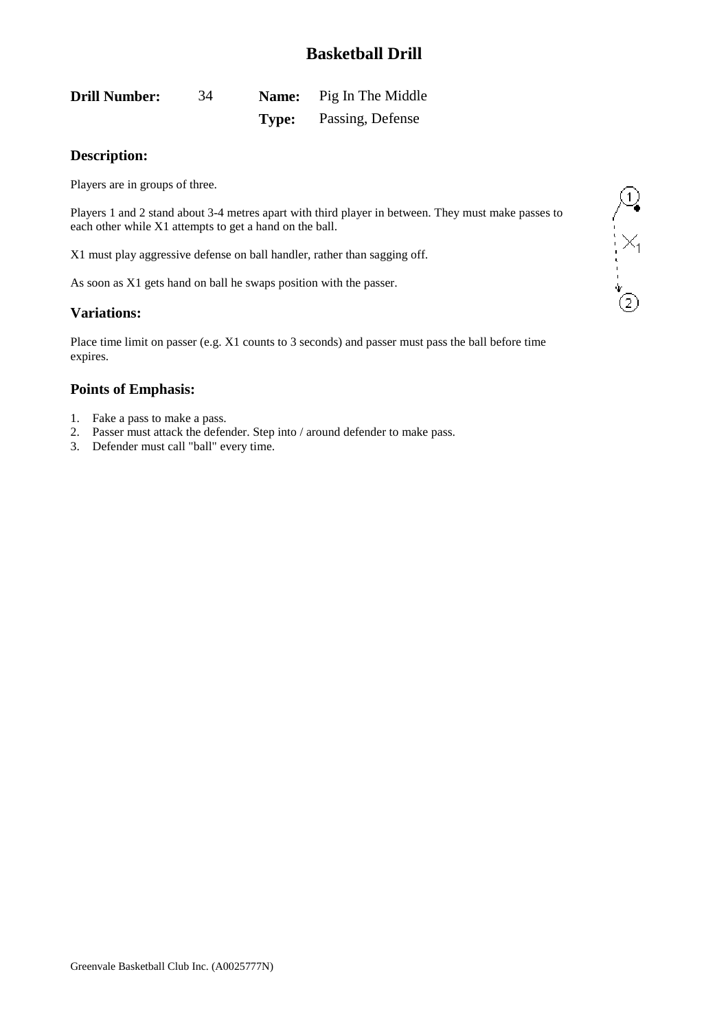<span id="page-34-0"></span>

| <b>Drill Number:</b> | 34 |       | <b>Name:</b> Pig In The Middle |
|----------------------|----|-------|--------------------------------|
|                      |    | Type: | Passing, Defense               |

### **Description:**

Players are in groups of three.

Players 1 and 2 stand about 3-4 metres apart with third player in between. They must make passes to each other while X1 attempts to get a hand on the ball.

X1 must play aggressive defense on ball handler, rather than sagging off.

As soon as X1 gets hand on ball he swaps position with the passer.

### **Variations:**

Place time limit on passer (e.g. X1 counts to 3 seconds) and passer must pass the ball before time expires.

- 1. Fake a pass to make a pass.
- 2. Passer must attack the defender. Step into / around defender to make pass.
- 3. Defender must call "ball" every time.

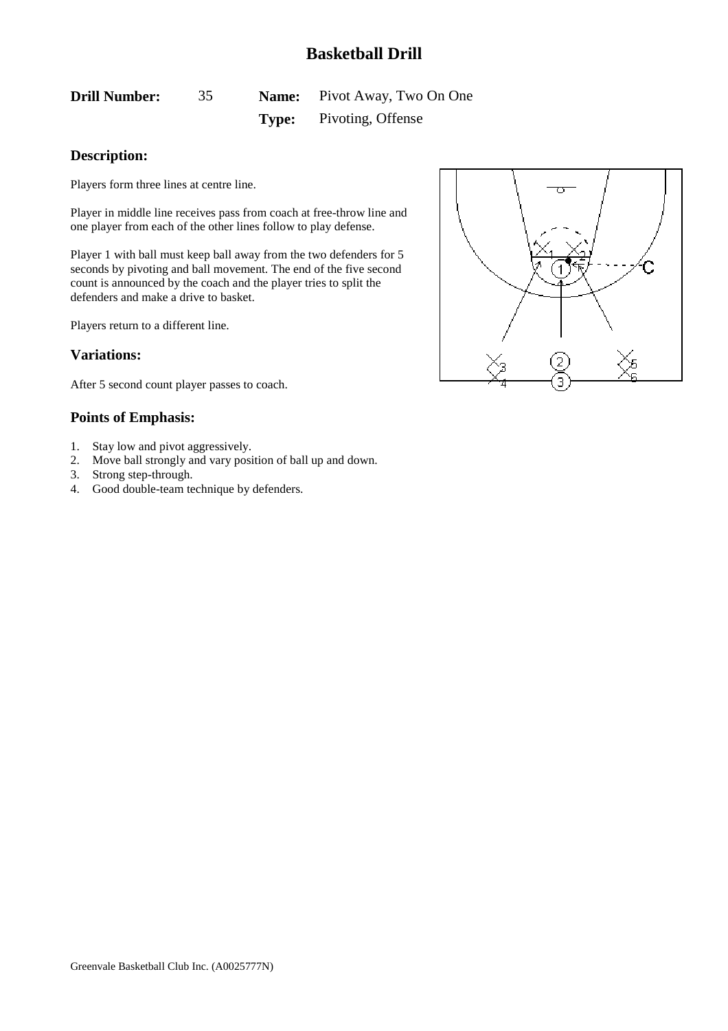<span id="page-35-0"></span>**Drill Number:** 35 **Name:** Pivot Away, Two On One **Type:** Pivoting, Offense

### **Description:**

Players form three lines at centre line.

Player in middle line receives pass from coach at free-throw line and one player from each of the other lines follow to play defense.

Player 1 with ball must keep ball away from the two defenders for 5 seconds by pivoting and ball movement. The end of the five second count is announced by the coach and the player tries to split the defenders and make a drive to basket.

Players return to a different line.

#### **Variations:**

After 5 second count player passes to coach.

- 1. Stay low and pivot aggressively.
- 2. Move ball strongly and vary position of ball up and down.
- 3. Strong step-through.
- 4. Good double-team technique by defenders.

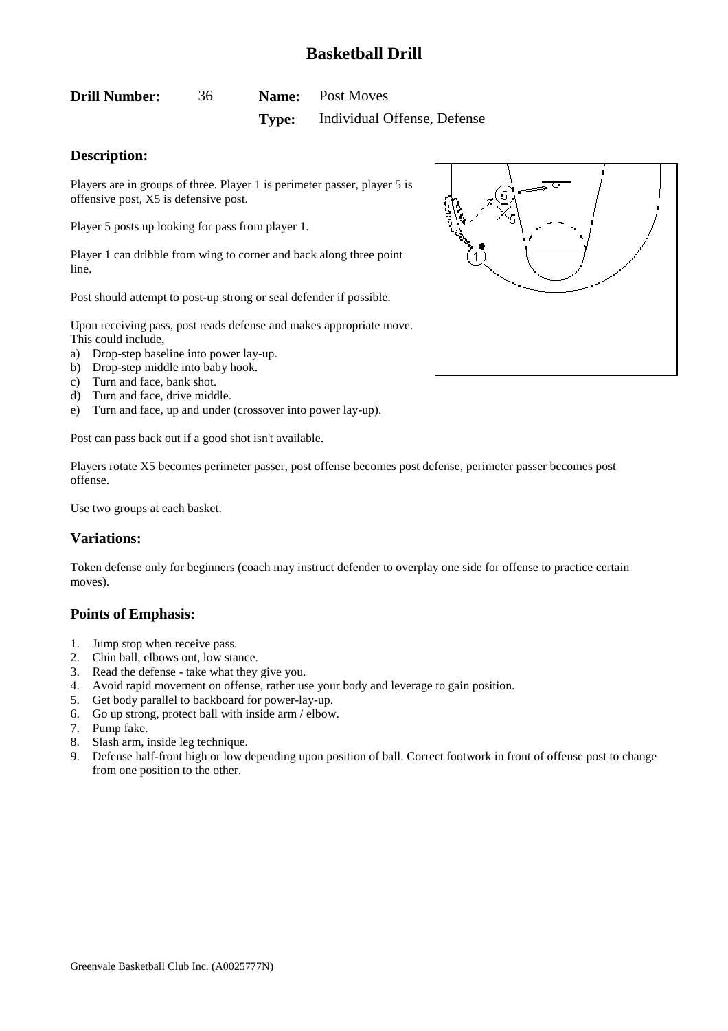<span id="page-36-0"></span>

| <b>Drill Number:</b> | 36 | <b>Name:</b> Post Moves                  |
|----------------------|----|------------------------------------------|
|                      |    | <b>Type:</b> Individual Offense, Defense |

### **Description:**

Players are in groups of three. Player 1 is perimeter passer, player 5 is offensive post, X5 is defensive post.

Player 5 posts up looking for pass from player 1.

Player 1 can dribble from wing to corner and back along three point line.

Post should attempt to post-up strong or seal defender if possible.

Upon receiving pass, post reads defense and makes appropriate move. This could include,

- a) Drop-step baseline into power lay-up.
- b) Drop-step middle into baby hook.
- c) Turn and face, bank shot.
- d) Turn and face, drive middle.
- e) Turn and face, up and under (crossover into power lay-up).

Post can pass back out if a good shot isn't available.

Players rotate X5 becomes perimeter passer, post offense becomes post defense, perimeter passer becomes post offense.

Use two groups at each basket.

### **Variations:**

Token defense only for beginners (coach may instruct defender to overplay one side for offense to practice certain moves).

- 1. Jump stop when receive pass.
- 2. Chin ball, elbows out, low stance.
- 3. Read the defense take what they give you.
- 4. Avoid rapid movement on offense, rather use your body and leverage to gain position.
- 5. Get body parallel to backboard for power-lay-up.
- 6. Go up strong, protect ball with inside arm / elbow.
- 7. Pump fake.
- 8. Slash arm, inside leg technique.
- 9. Defense half-front high or low depending upon position of ball. Correct footwork in front of offense post to change from one position to the other.

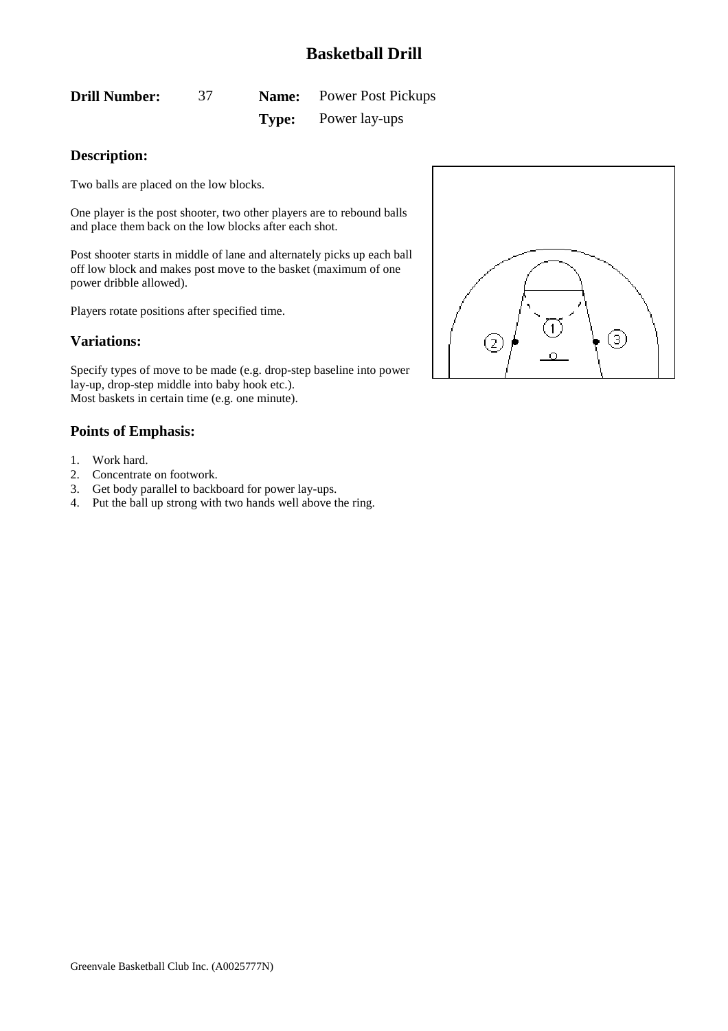<span id="page-37-0"></span>**Drill Number:** 37 **Name:** Power Post Pickups **Type:** Power lay-ups

### **Description:**

Two balls are placed on the low blocks.

One player is the post shooter, two other players are to rebound balls and place them back on the low blocks after each shot.

Post shooter starts in middle of lane and alternately picks up each ball off low block and makes post move to the basket (maximum of one power dribble allowed).

Players rotate positions after specified time.

### **Variations:**

Specify types of move to be made (e.g. drop-step baseline into power lay-up, drop-step middle into baby hook etc.). Most baskets in certain time (e.g. one minute).

- 1. Work hard.
- 2. Concentrate on footwork.
- 3. Get body parallel to backboard for power lay-ups.
- 4. Put the ball up strong with two hands well above the ring.

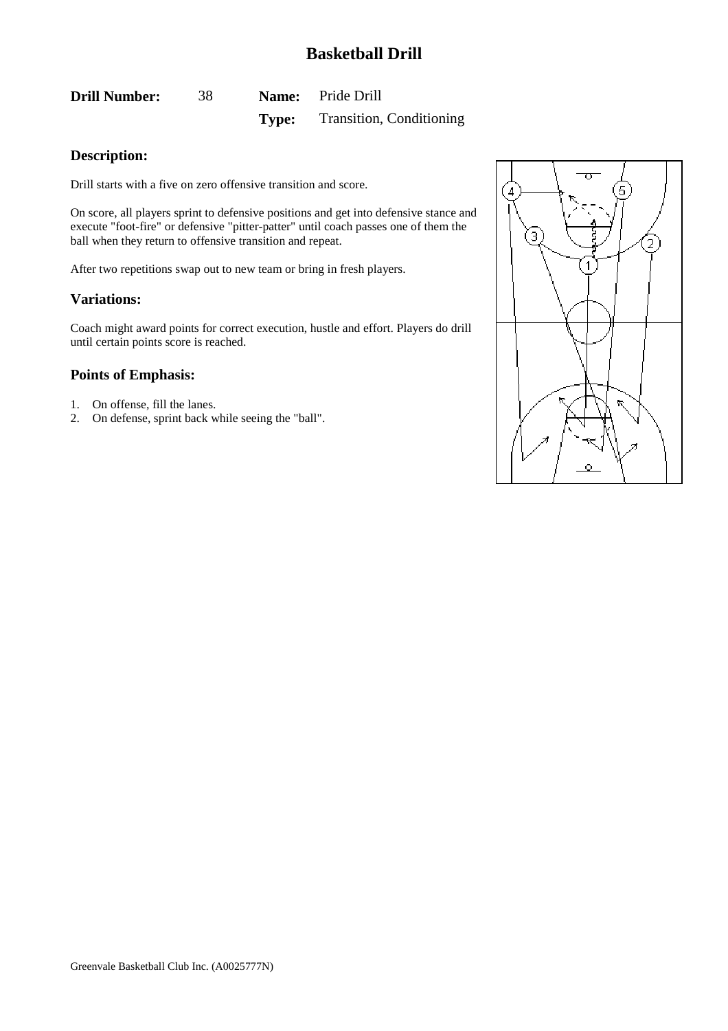<span id="page-38-0"></span>

| <b>Drill Number:</b> | 38. | <b>Name:</b> Pride Drill              |
|----------------------|-----|---------------------------------------|
|                      |     | <b>Type:</b> Transition, Conditioning |

### **Description:**

Drill starts with a five on zero offensive transition and score.

On score, all players sprint to defensive positions and get into defensive stance and execute "foot-fire" or defensive "pitter-patter" until coach passes one of them the ball when they return to offensive transition and repeat.

After two repetitions swap out to new team or bring in fresh players.

#### **Variations:**

Coach might award points for correct execution, hustle and effort. Players do drill until certain points score is reached.

- 1. On offense, fill the lanes.
- 2. On defense, sprint back while seeing the "ball".

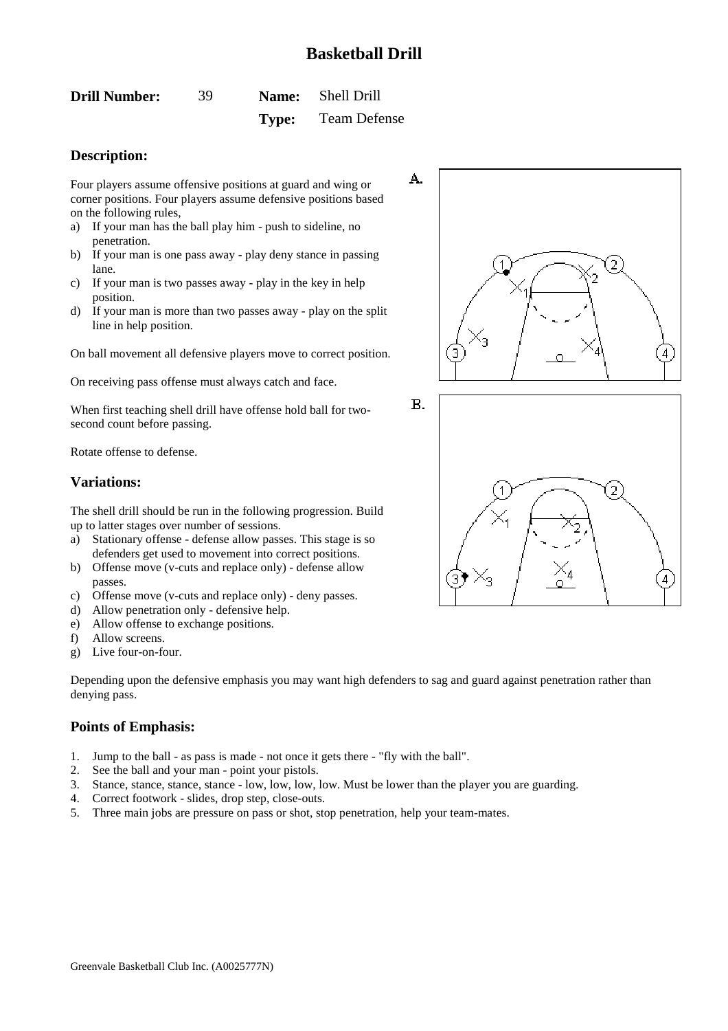<span id="page-39-0"></span>

| <b>Drill Number:</b> | 39 | <b>Name:</b> Shell Drill  |
|----------------------|----|---------------------------|
|                      |    | <b>Type:</b> Team Defense |

### **Description:**

Four players assume offensive positions at guard and wing or corner positions. Four players assume defensive positions based on the following rules,

- a) If your man has the ball play him push to sideline, no penetration.
- b) If your man is one pass away play deny stance in passing lane.
- c) If your man is two passes away play in the key in help position.
- d) If your man is more than two passes away play on the split line in help position.

On ball movement all defensive players move to correct position.

On receiving pass offense must always catch and face.

When first teaching shell drill have offense hold ball for twosecond count before passing.

Rotate offense to defense.

### **Variations:**

The shell drill should be run in the following progression. Build up to latter stages over number of sessions.

- a) Stationary offense defense allow passes. This stage is so defenders get used to movement into correct positions.
- b) Offense move (v-cuts and replace only) defense allow passes.
- c) Offense move (v-cuts and replace only) deny passes.
- d) Allow penetration only defensive help.
- e) Allow offense to exchange positions.
- f) Allow screens.
- g) Live four-on-four.

Depending upon the defensive emphasis you may want high defenders to sag and guard against penetration rather than denying pass.

**B.** 

- 1. Jump to the ball as pass is made not once it gets there "fly with the ball".
- 2. See the ball and your man point your pistols.
- 3. Stance, stance, stance, stance low, low, low, low. Must be lower than the player you are guarding.
- 4. Correct footwork slides, drop step, close-outs.
- 5. Three main jobs are pressure on pass or shot, stop penetration, help your team-mates.



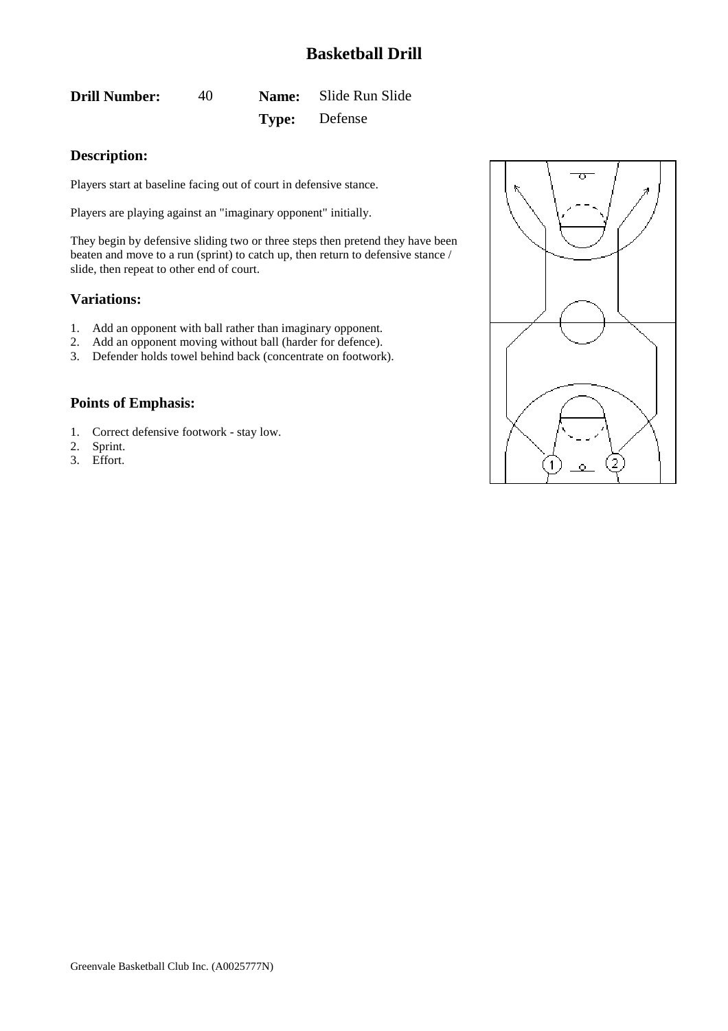<span id="page-40-0"></span>**Drill Number:** 40 **Name:** Slide Run Slide **Type:** Defense

### **Description:**

Players start at baseline facing out of court in defensive stance.

Players are playing against an "imaginary opponent" initially.

They begin by defensive sliding two or three steps then pretend they have been beaten and move to a run (sprint) to catch up, then return to defensive stance / slide, then repeat to other end of court.

#### **Variations:**

- 1. Add an opponent with ball rather than imaginary opponent.
- 2. Add an opponent moving without ball (harder for defence).
- 3. Defender holds towel behind back (concentrate on footwork).

- 1. Correct defensive footwork stay low.
- 2. Sprint.
- 3. Effort.

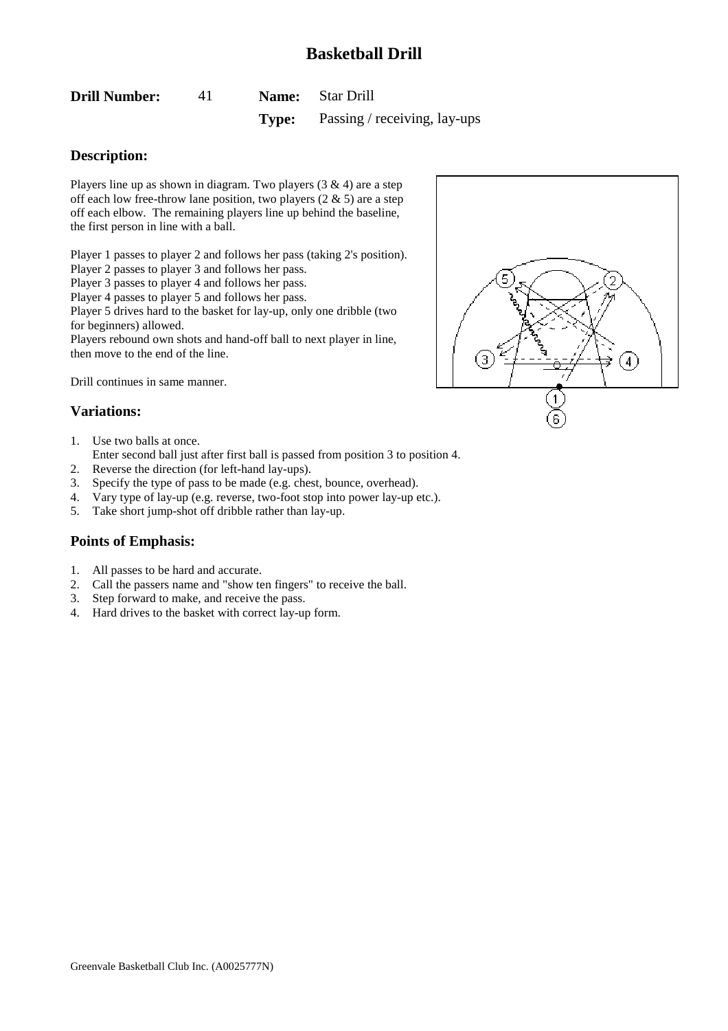<span id="page-41-0"></span>

| <b>Drill Number:</b> |  | <b>Name:</b> Star Drill |  |
|----------------------|--|-------------------------|--|
|                      |  |                         |  |

**Type:** Passing / receiving, lay-ups

### **Description:**

Players line up as shown in diagram. Two players  $(3 \& 4)$  are a step off each low free-throw lane position, two players  $(2 \& 5)$  are a step off each elbow. The remaining players line up behind the baseline, the first person in line with a ball.

Player 1 passes to player 2 and follows her pass (taking 2's position).

Player 2 passes to player 3 and follows her pass.

Player 3 passes to player 4 and follows her pass.

Player 4 passes to player 5 and follows her pass.

Player 5 drives hard to the basket for lay-up, only one dribble (two for beginners) allowed.

Players rebound own shots and hand-off ball to next player in line, then move to the end of the line.

Drill continues in same manner.

### **Variations:**

1. Use two balls at once.

Enter second ball just after first ball is passed from position 3 to position 4.

- 2. Reverse the direction (for left-hand lay-ups).
- 3. Specify the type of pass to be made (e.g. chest, bounce, overhead).
- 4. Vary type of lay-up (e.g. reverse, two-foot stop into power lay-up etc.).
- 5. Take short jump-shot off dribble rather than lay-up.

- 1. All passes to be hard and accurate.
- 2. Call the passers name and "show ten fingers" to receive the ball.
- 3. Step forward to make, and receive the pass.
- 4. Hard drives to the basket with correct lay-up form.

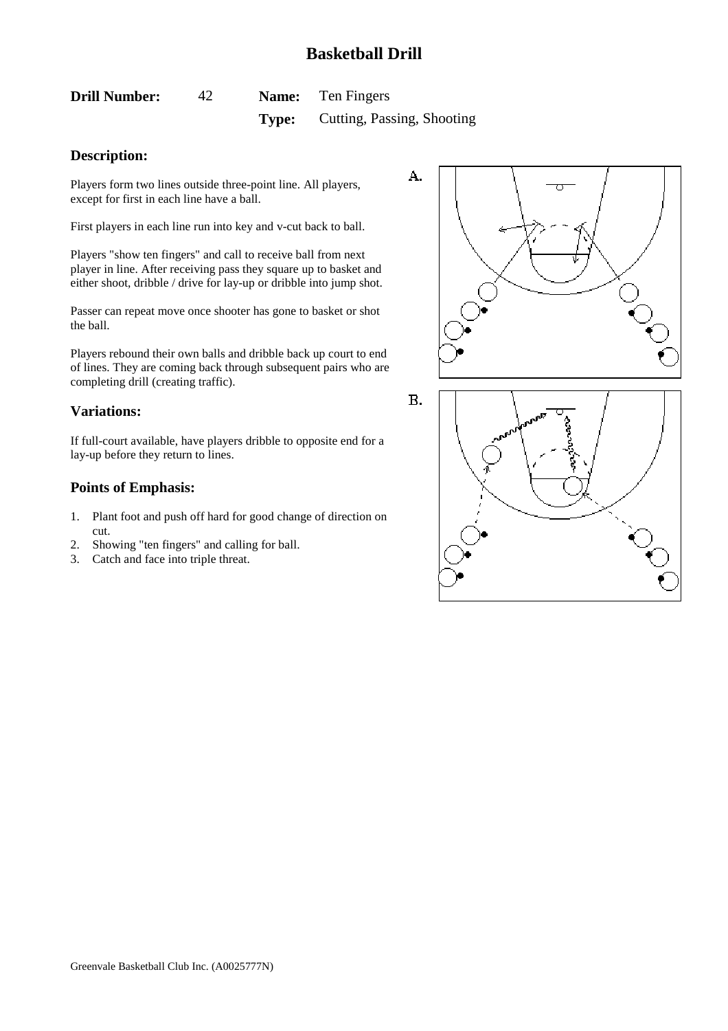<span id="page-42-0"></span>

| <b>Drill Number:</b> |       | <b>Name:</b> Ten Fingers   |
|----------------------|-------|----------------------------|
|                      | Type: | Cutting, Passing, Shooting |

### **Description:**

Players form two lines outside three-point line. All players, except for first in each line have a ball.

First players in each line run into key and v-cut back to ball.

Players "show ten fingers" and call to receive ball from next player in line. After receiving pass they square up to basket and either shoot, dribble / drive for lay-up or dribble into jump shot.

Passer can repeat move once shooter has gone to basket or shot the ball.

Players rebound their own balls and dribble back up court to end of lines. They are coming back through subsequent pairs who are completing drill (creating traffic).

### **Variations:**

If full-court available, have players dribble to opposite end for a lay-up before they return to lines.

- 1. Plant foot and push off hard for good change of direction on cut.
- 2. Showing "ten fingers" and calling for ball.
- 3. Catch and face into triple threat.



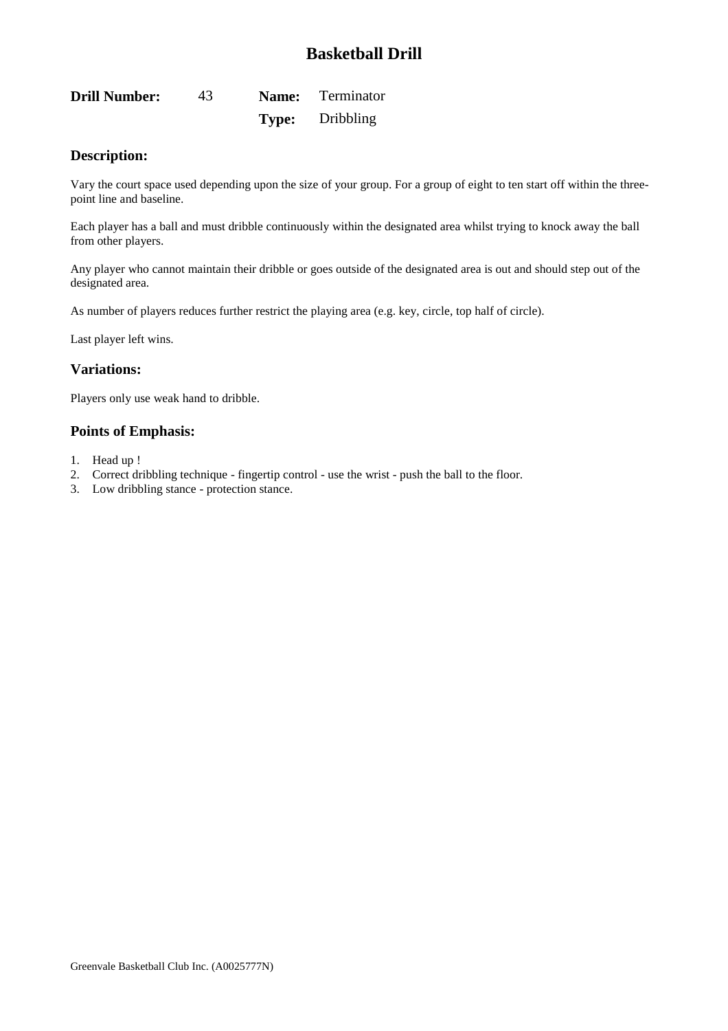<span id="page-43-0"></span>

| <b>Drill Number:</b> | 43 | <b>Name:</b> Terminator |
|----------------------|----|-------------------------|
|                      |    | <b>Type:</b> Dribbling  |

### **Description:**

Vary the court space used depending upon the size of your group. For a group of eight to ten start off within the threepoint line and baseline.

Each player has a ball and must dribble continuously within the designated area whilst trying to knock away the ball from other players.

Any player who cannot maintain their dribble or goes outside of the designated area is out and should step out of the designated area.

As number of players reduces further restrict the playing area (e.g. key, circle, top half of circle).

Last player left wins.

### **Variations:**

Players only use weak hand to dribble.

- 1. Head up !
- 2. Correct dribbling technique fingertip control use the wrist push the ball to the floor.
- 3. Low dribbling stance protection stance.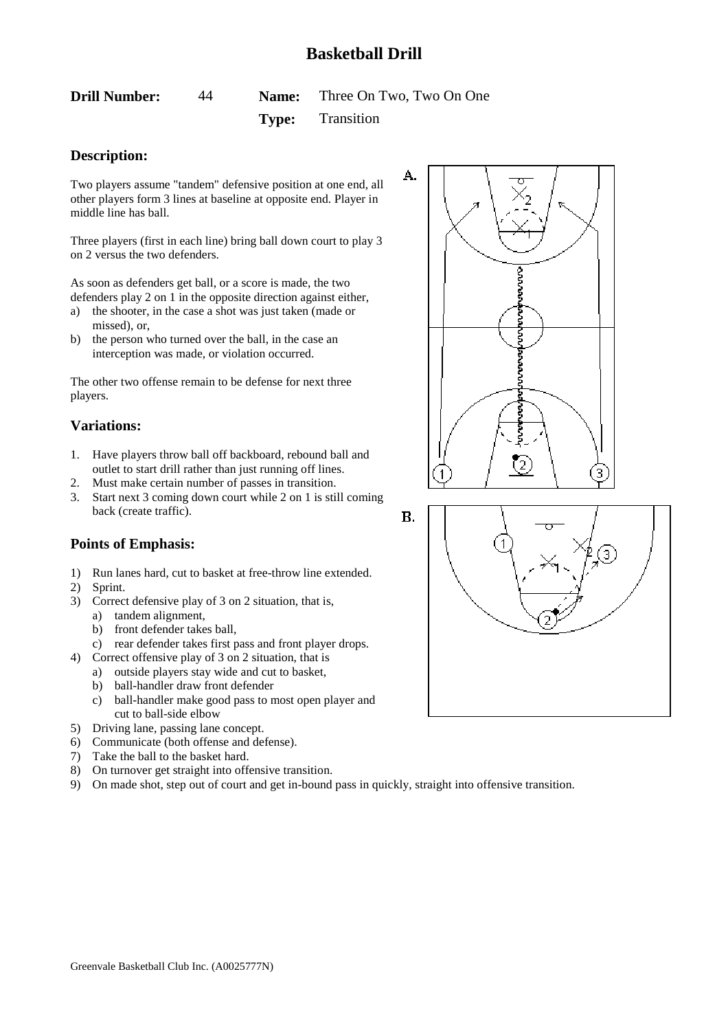<span id="page-44-0"></span>**Drill Number:** 44 **Name:** Three On Two, Two On One

**Type:** Transition

# **Description:**

Two players assume "tandem" defensive position at one end, all other players form 3 lines at baseline at opposite end. Player in middle line has ball.

Three players (first in each line) bring ball down court to play 3 on 2 versus the two defenders.

As soon as defenders get ball, or a score is made, the two defenders play 2 on 1 in the opposite direction against either,

- a) the shooter, in the case a shot was just taken (made or missed), or,
- b) the person who turned over the ball, in the case an interception was made, or violation occurred.

The other two offense remain to be defense for next three players.

### **Variations:**

- 1. Have players throw ball off backboard, rebound ball and outlet to start drill rather than just running off lines.
- 2. Must make certain number of passes in transition.
- 3. Start next 3 coming down court while 2 on 1 is still coming back (create traffic).

- 1) Run lanes hard, cut to basket at free-throw line extended.
- 2) Sprint.
- 3) Correct defensive play of 3 on 2 situation, that is,
	- a) tandem alignment,
	- b) front defender takes ball,
	- c) rear defender takes first pass and front player drops.
- 4) Correct offensive play of 3 on 2 situation, that is
	- a) outside players stay wide and cut to basket,
	- b) ball-handler draw front defender
	- c) ball-handler make good pass to most open player and cut to ball-side elbow
- 5) Driving lane, passing lane concept.
- 6) Communicate (both offense and defense).
- 7) Take the ball to the basket hard.
- 8) On turnover get straight into offensive transition.
- 9) On made shot, step out of court and get in-bound pass in quickly, straight into offensive transition.



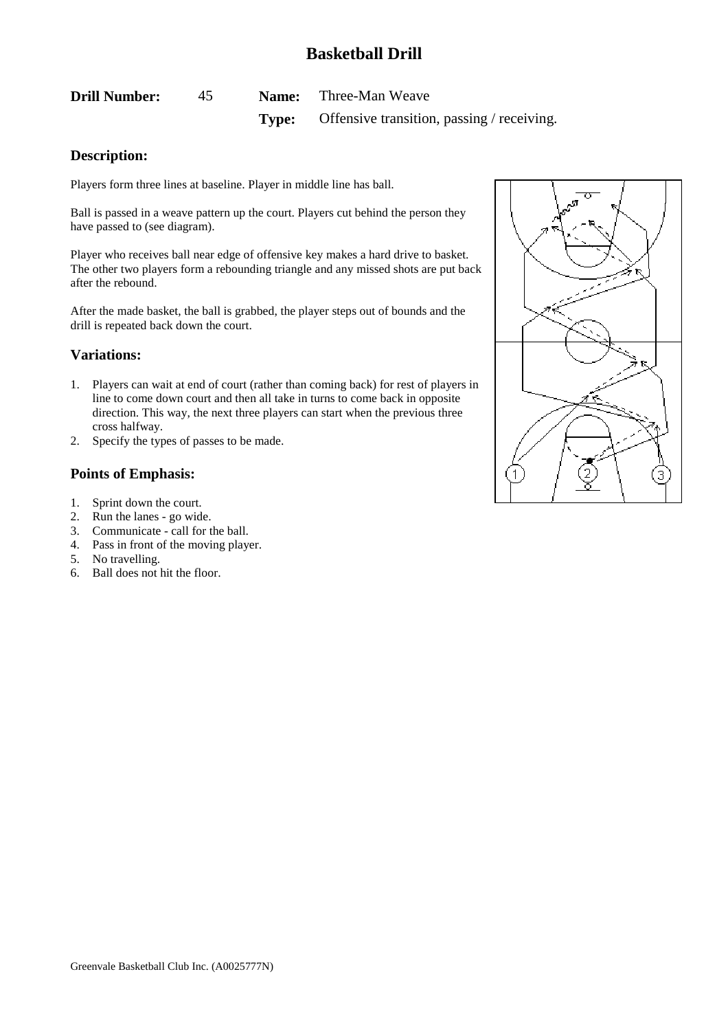<span id="page-45-0"></span>

| <b>Drill Number:</b> | 45 | <b>Name:</b> Three-Man Weave                            |  |
|----------------------|----|---------------------------------------------------------|--|
|                      |    | <b>Type:</b> Offensive transition, passing / receiving. |  |

### **Description:**

Players form three lines at baseline. Player in middle line has ball.

Ball is passed in a weave pattern up the court. Players cut behind the person they have passed to (see diagram).

Player who receives ball near edge of offensive key makes a hard drive to basket. The other two players form a rebounding triangle and any missed shots are put back after the rebound.

After the made basket, the ball is grabbed, the player steps out of bounds and the drill is repeated back down the court.

#### **Variations:**

- 1. Players can wait at end of court (rather than coming back) for rest of players in line to come down court and then all take in turns to come back in opposite direction. This way, the next three players can start when the previous three cross halfway.
- 2. Specify the types of passes to be made.

- 1. Sprint down the court.
- 2. Run the lanes go wide.
- 3. Communicate call for the ball.
- 4. Pass in front of the moving player.
- 5. No travelling.
- 6. Ball does not hit the floor.

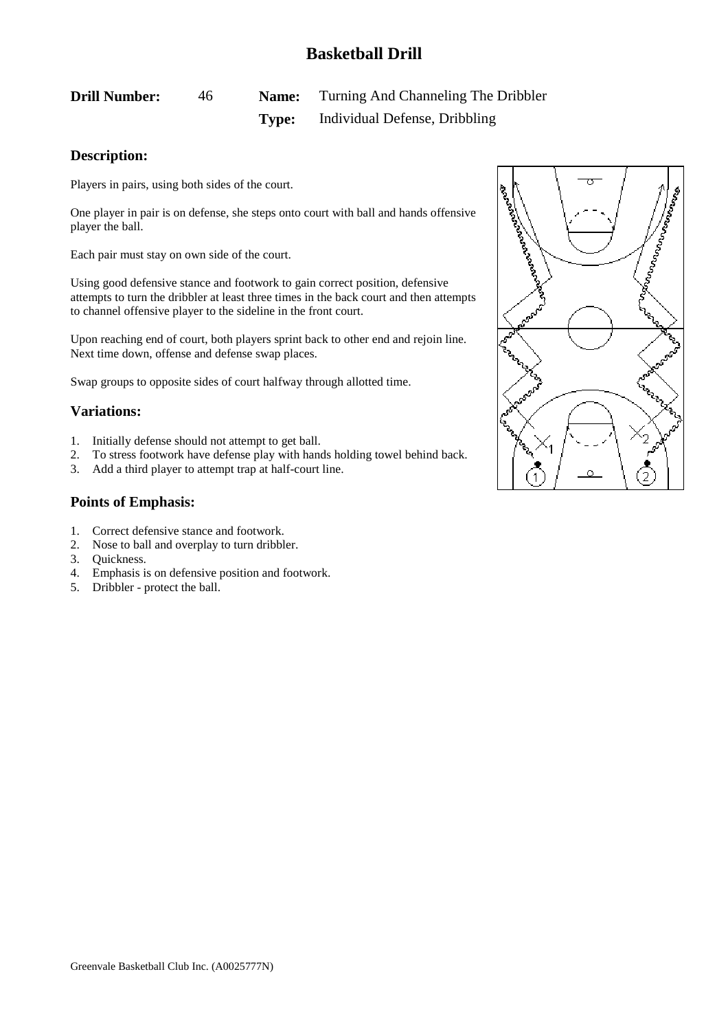# <span id="page-46-0"></span>**Drill Number:** 46 **Name:** Turning And Channeling The Dribbler **Type:** Individual Defense, Dribbling

### **Description:**

Players in pairs, using both sides of the court.

One player in pair is on defense, she steps onto court with ball and hands offensive player the ball.

Each pair must stay on own side of the court.

Using good defensive stance and footwork to gain correct position, defensive attempts to turn the dribbler at least three times in the back court and then attempts to channel offensive player to the sideline in the front court.

Upon reaching end of court, both players sprint back to other end and rejoin line. Next time down, offense and defense swap places.

Swap groups to opposite sides of court halfway through allotted time.

### **Variations:**

- 1. Initially defense should not attempt to get ball.
- 2. To stress footwork have defense play with hands holding towel behind back.
- 3. Add a third player to attempt trap at half-court line.

- 1. Correct defensive stance and footwork.
- 2. Nose to ball and overplay to turn dribbler.
- 3. Quickness.
- 4. Emphasis is on defensive position and footwork.
- 5. Dribbler protect the ball.

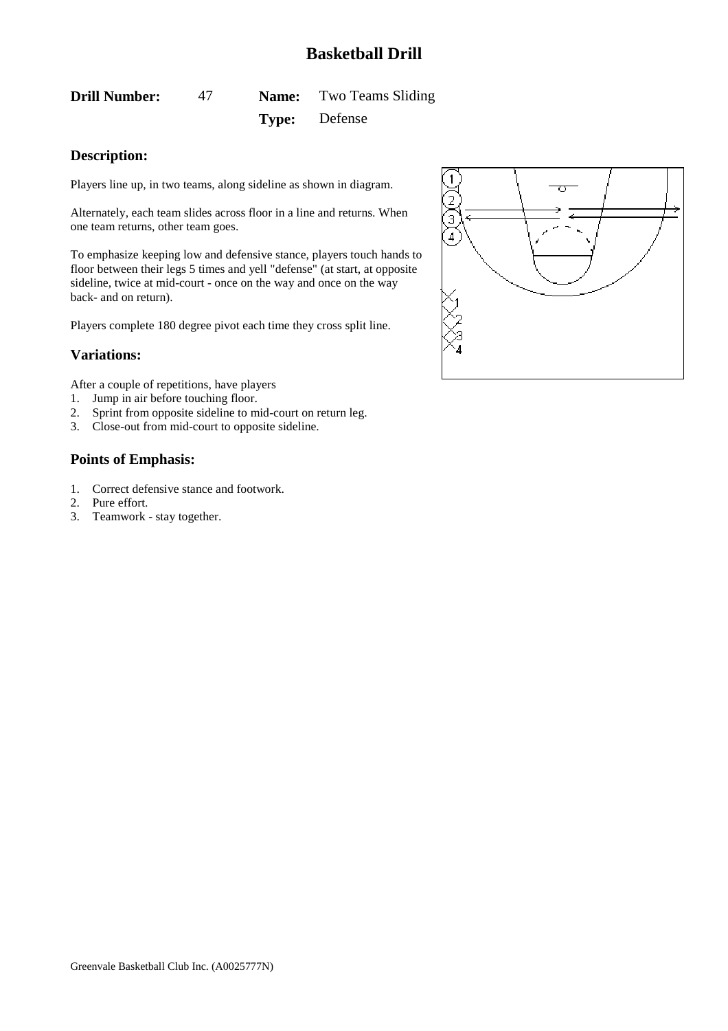# <span id="page-47-0"></span>**Drill Number:** 47 **Name:** Two Teams Sliding **Type:** Defense

# **Description:**

Players line up, in two teams, along sideline as shown in diagram.

Alternately, each team slides across floor in a line and returns. When one team returns, other team goes.

To emphasize keeping low and defensive stance, players touch hands to floor between their legs 5 times and yell "defense" (at start, at opposite sideline, twice at mid-court - once on the way and once on the way back- and on return).

Players complete 180 degree pivot each time they cross split line.

### **Variations:**

After a couple of repetitions, have players

- 1. Jump in air before touching floor.
- 2. Sprint from opposite sideline to mid-court on return leg.
- 3. Close-out from mid-court to opposite sideline.

- 1. Correct defensive stance and footwork.
- 2. Pure effort.
- 3. Teamwork stay together.

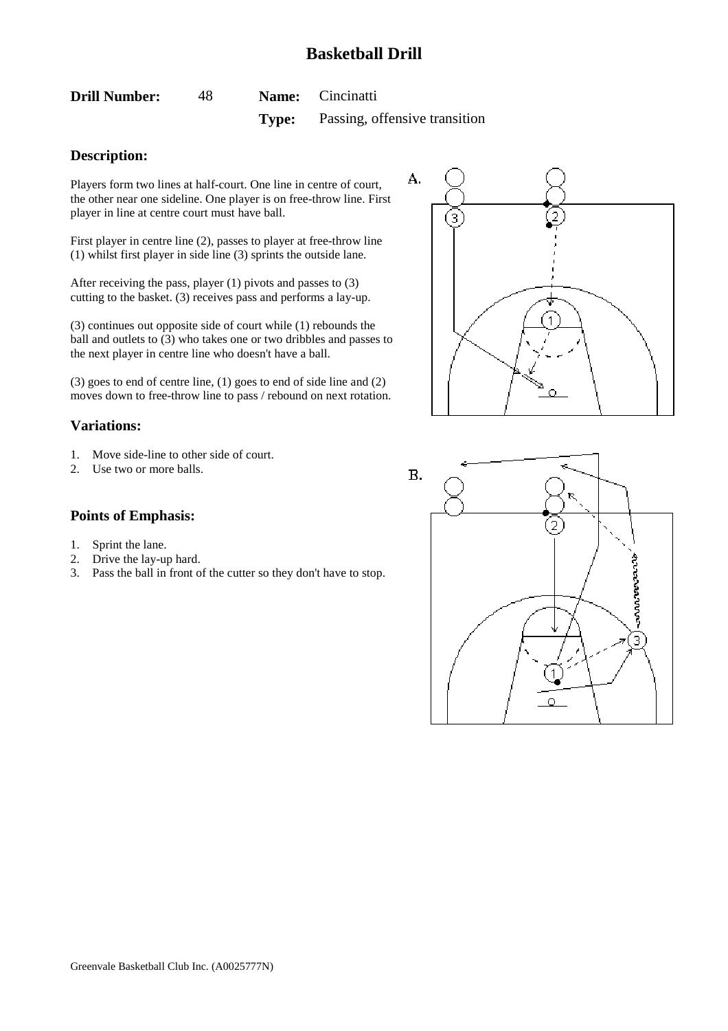<span id="page-48-0"></span>

| <b>Drill Number:</b> | -48 | <b>Name:</b> Cincinatti                    |
|----------------------|-----|--------------------------------------------|
|                      |     | <b>Type:</b> Passing, offensive transition |

### **Description:**

Players form two lines at half-court. One line in centre of court, the other near one sideline. One player is on free-throw line. First player in line at centre court must have ball.

First player in centre line (2), passes to player at free-throw line (1) whilst first player in side line (3) sprints the outside lane.

After receiving the pass, player (1) pivots and passes to (3) cutting to the basket. (3) receives pass and performs a lay-up.

(3) continues out opposite side of court while (1) rebounds the ball and outlets to (3) who takes one or two dribbles and passes to the next player in centre line who doesn't have a ball.

(3) goes to end of centre line, (1) goes to end of side line and (2) moves down to free-throw line to pass / rebound on next rotation.

### **Variations:**

- 1. Move side-line to other side of court.
- 2. Use two or more balls.

#### **Points of Emphasis:**

- 1. Sprint the lane.
- 2. Drive the lay-up hard.
- 3. Pass the ball in front of the cutter so they don't have to stop.



 $B.$ **RUNNANANA** 3) 1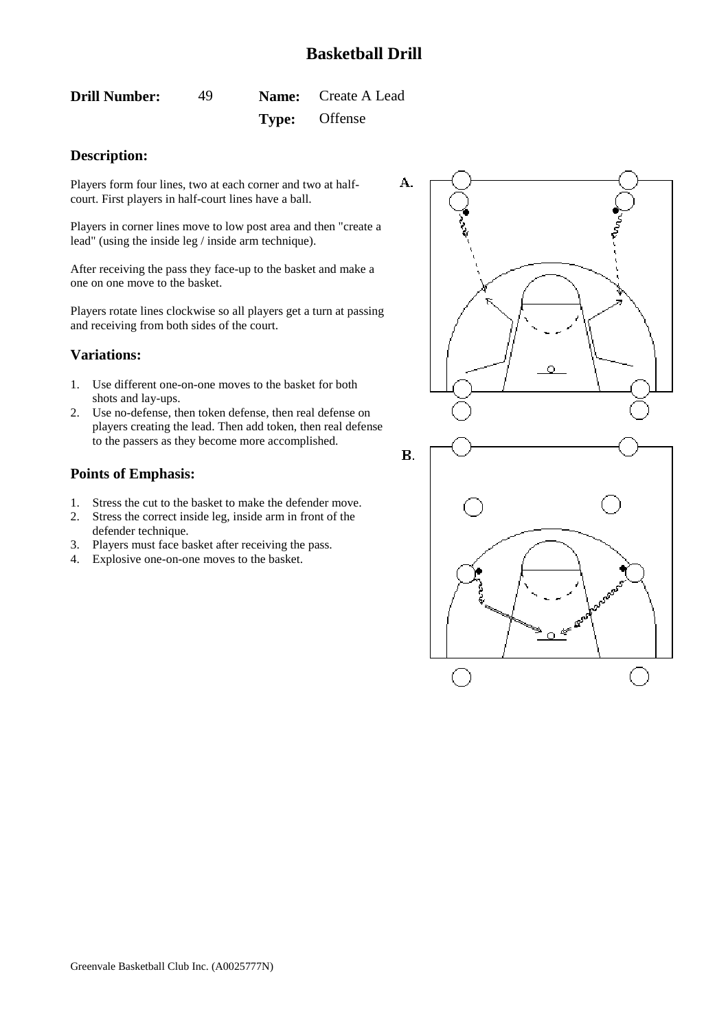<span id="page-49-0"></span>**Drill Number:** 49 **Name:** Create A Lead **Type:** Offense

### **Description:**

Players form four lines, two at each corner and two at halfcourt. First players in half-court lines have a ball.

Players in corner lines move to low post area and then "create a lead" (using the inside leg / inside arm technique).

After receiving the pass they face-up to the basket and make a one on one move to the basket.

Players rotate lines clockwise so all players get a turn at passing and receiving from both sides of the court.

#### **Variations:**

- 1. Use different one-on-one moves to the basket for both shots and lay-ups.
- 2. Use no-defense, then token defense, then real defense on players creating the lead. Then add token, then real defense to the passers as they become more accomplished.

- 1. Stress the cut to the basket to make the defender move.
- 2. Stress the correct inside leg, inside arm in front of the defender technique.
- 3. Players must face basket after receiving the pass.
- 4. Explosive one-on-one moves to the basket.

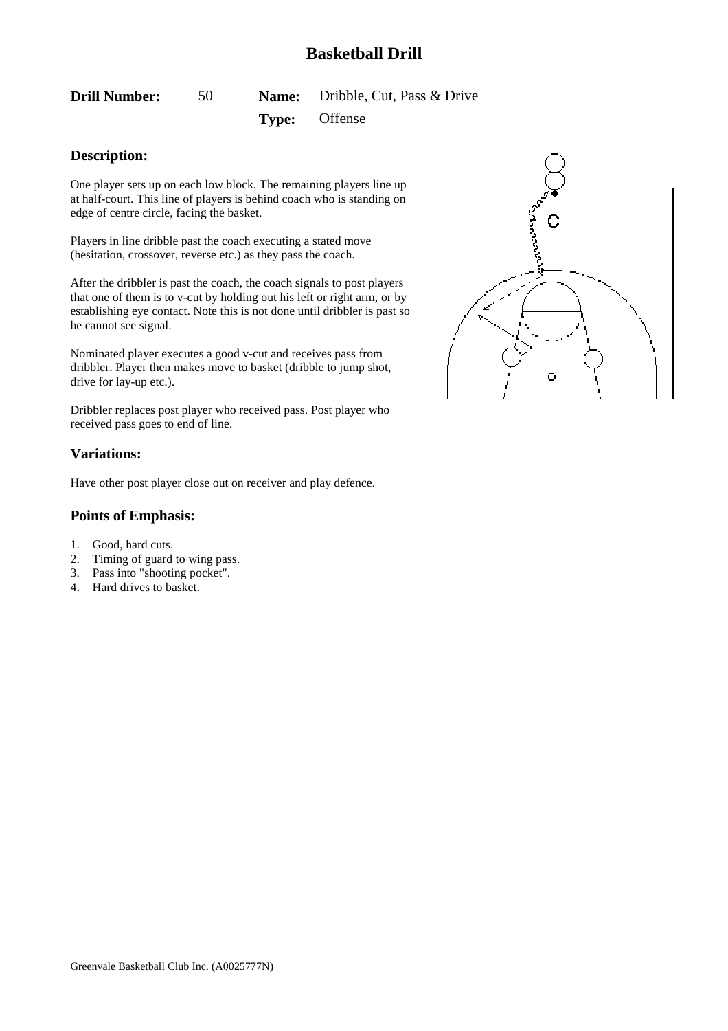<span id="page-50-0"></span>**Drill Number:** 50 **Name:** Dribble, Cut, Pass & Drive

**Type:** Offense

### **Description:**

One player sets up on each low block. The remaining players line up at half-court. This line of players is behind coach who is standing on edge of centre circle, facing the basket.

Players in line dribble past the coach executing a stated move (hesitation, crossover, reverse etc.) as they pass the coach.

After the dribbler is past the coach, the coach signals to post players that one of them is to v-cut by holding out his left or right arm, or by establishing eye contact. Note this is not done until dribbler is past so he cannot see signal.

Nominated player executes a good v-cut and receives pass from dribbler. Player then makes move to basket (dribble to jump shot, drive for lay-up etc.).

Dribbler replaces post player who received pass. Post player who received pass goes to end of line.

### **Variations:**

Have other post player close out on receiver and play defence.

- 1. Good, hard cuts.
- 2. Timing of guard to wing pass.
- 3. Pass into "shooting pocket".
- 4. Hard drives to basket.

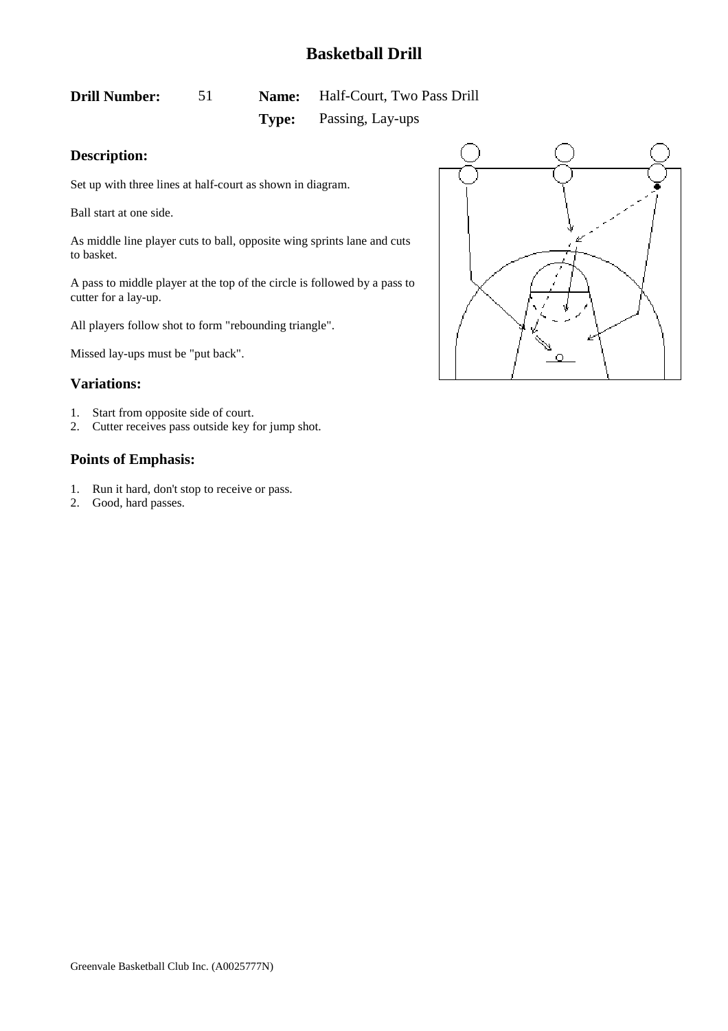# <span id="page-51-0"></span>**Drill Number:** 51 **Name:** Half-Court, Two Pass Drill

**Type:** Passing, Lay-ups

# **Description:**

Set up with three lines at half-court as shown in diagram.

Ball start at one side.

As middle line player cuts to ball, opposite wing sprints lane and cuts to basket.

A pass to middle player at the top of the circle is followed by a pass to cutter for a lay-up.

All players follow shot to form "rebounding triangle".

Missed lay-ups must be "put back".

#### **Variations:**

- 1. Start from opposite side of court.
- 2. Cutter receives pass outside key for jump shot.

- 1. Run it hard, don't stop to receive or pass.
- 2. Good, hard passes.

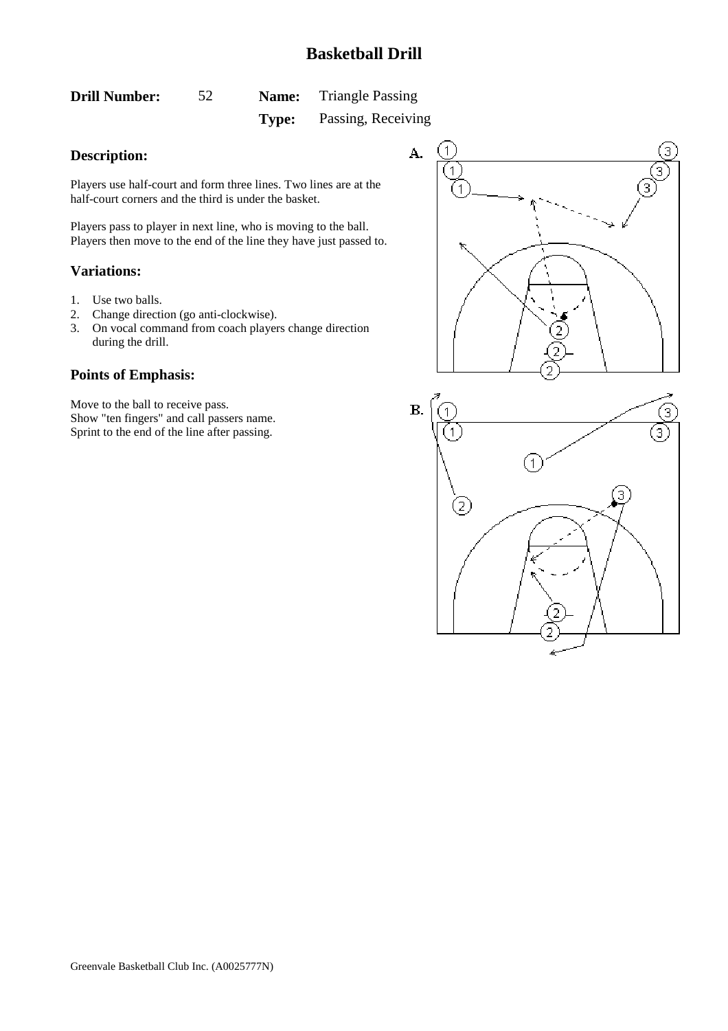<span id="page-52-0"></span>

| <b>Drill Number:</b> | 52 | <b>Name:</b> | <b>Triangle Passing</b> |
|----------------------|----|--------------|-------------------------|
|                      |    | Type:        | Passing, Receiving      |

### **Description:**

Players use half-court and form three lines. Two lines are at the half-court corners and the third is under the basket.

Players pass to player in next line, who is moving to the ball. Players then move to the end of the line they have just passed to.

#### **Variations:**

- 1. Use two balls.
- 2. Change direction (go anti-clockwise).
- 3. On vocal command from coach players change direction during the drill.

### **Points of Emphasis:**

Move to the ball to receive pass. Show "ten fingers" and call passers name. Sprint to the end of the line after passing.